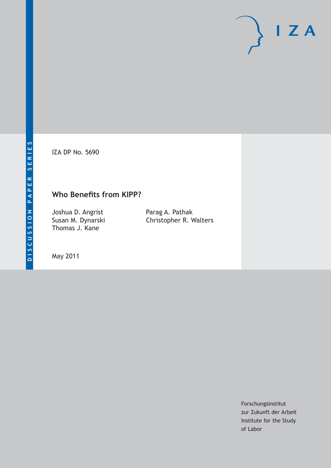IZA DP No. 5690

# **Who Benefits from KIPP?**

Joshua D. Angrist Susan M. Dynarski Thomas J. Kane

Parag A. Pathak Christopher R. Walters

May 2011

Forschungsinstitut zur Zukunft der Arbeit Institute for the Study of Labor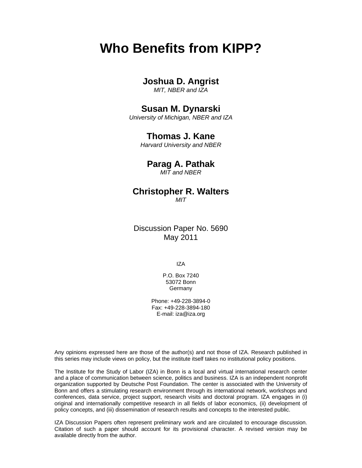# **Who Benefits from KIPP?**

# **Joshua D. Angrist**

*MIT, NBER and IZA* 

# **Susan M. Dynarski**

*University of Michigan, NBER and IZA* 

### **Thomas J. Kane**

*Harvard University and NBER* 

## **Parag A. Pathak**

*MIT and NBER* 

# **Christopher R. Walters**

*MIT*

Discussion Paper No. 5690 May 2011

IZA

P.O. Box 7240 53072 Bonn **Germany** 

Phone: +49-228-3894-0 Fax: +49-228-3894-180 E-mail: iza@iza.org

Any opinions expressed here are those of the author(s) and not those of IZA. Research published in this series may include views on policy, but the institute itself takes no institutional policy positions.

The Institute for the Study of Labor (IZA) in Bonn is a local and virtual international research center and a place of communication between science, politics and business. IZA is an independent nonprofit organization supported by Deutsche Post Foundation. The center is associated with the University of Bonn and offers a stimulating research environment through its international network, workshops and conferences, data service, project support, research visits and doctoral program. IZA engages in (i) original and internationally competitive research in all fields of labor economics, (ii) development of policy concepts, and (iii) dissemination of research results and concepts to the interested public.

IZA Discussion Papers often represent preliminary work and are circulated to encourage discussion. Citation of such a paper should account for its provisional character. A revised version may be available directly from the author.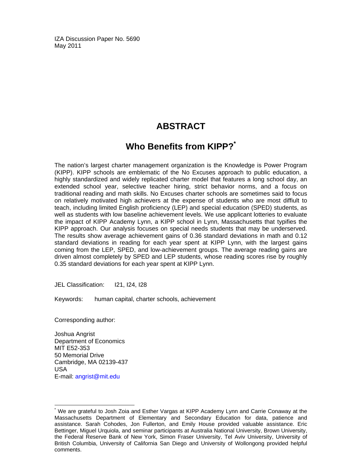IZA Discussion Paper No. 5690 May 2011

# **ABSTRACT**

# **Who Benefits from KIPP?**

The nation's largest charter management organization is the Knowledge is Power Program (KIPP). KIPP schools are emblematic of the No Excuses approach to public education, a highly standardized and widely replicated charter model that features a long school day, an extended school year, selective teacher hiring, strict behavior norms, and a focus on traditional reading and math skills. No Excuses charter schools are sometimes said to focus on relatively motivated high achievers at the expense of students who are most diffiult to teach, including limited English proficiency (LEP) and special education (SPED) students, as well as students with low baseline achievement levels. We use applicant lotteries to evaluate the impact of KIPP Academy Lynn, a KIPP school in Lynn, Massachusetts that typifies the KIPP approach. Our analysis focuses on special needs students that may be underserved. The results show average achievement gains of 0.36 standard deviations in math and 0.12 standard deviations in reading for each year spent at KIPP Lynn, with the largest gains coming from the LEP, SPED, and low-achievement groups. The average reading gains are driven almost completely by SPED and LEP students, whose reading scores rise by roughly 0.35 standard deviations for each year spent at KIPP Lynn.

JEL Classification: I21, I24, I28

Keywords: human capital, charter schools, achievement

Corresponding author:

Joshua Angrist Department of Economics MIT E52-353 50 Memorial Drive Cambridge, MA 02139-437 USA E-mail: angrist@mit.edu

-

<sup>\*</sup> We are grateful to Josh Zoia and Esther Vargas at KIPP Academy Lynn and Carrie Conaway at the Massachusetts Department of Elementary and Secondary Education for data, patience and assistance. Sarah Cohodes, Jon Fullerton, and Emily House provided valuable assistance. Eric Bettinger, Miguel Urquiola, and seminar participants at Australia National University, Brown University, the Federal Reserve Bank of New York, Simon Fraser University, Tel Aviv University, University of British Columbia, University of California San Diego and University of Wollongong provided helpful comments.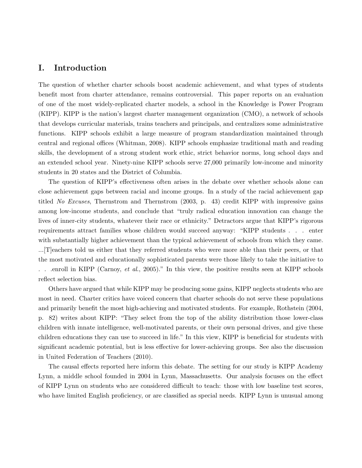### I. Introduction

The question of whether charter schools boost academic achievement, and what types of students benefit most from charter attendance, remains controversial. This paper reports on an evaluation of one of the most widely-replicated charter models, a school in the Knowledge is Power Program (KIPP). KIPP is the nation's largest charter management organization (CMO), a network of schools that develops curricular materials, trains teachers and principals, and centralizes some administrative functions. KIPP schools exhibit a large measure of program standardization maintained through central and regional offices (Whitman, 2008). KIPP schools emphasize traditional math and reading skills, the development of a strong student work ethic, strict behavior norms, long school days and an extended school year. Ninety-nine KIPP schools serve 27,000 primarily low-income and minority students in 20 states and the District of Columbia.

The question of KIPP's effectiveness often arises in the debate over whether schools alone can close achievement gaps between racial and income groups. In a study of the racial achievement gap titled No Excuses, Thernstrom and Thernstrom (2003, p. 43) credit KIPP with impressive gains among low-income students, and conclude that "truly radical education innovation can change the lives of inner-city students, whatever their race or ethnicity." Detractors argue that KIPP's rigorous requirements attract families whose children would succeed anyway: "KIPP students . . . enter with substantially higher achievement than the typical achievement of schools from which they came. ...[T]eachers told us either that they referred students who were more able than their peers, or that the most motivated and educationally sophisticated parents were those likely to take the initiative to ... enroll in KIPP (Carnoy, et al., 2005)." In this view, the positive results seen at KIPP schools reflect selection bias.

Others have argued that while KIPP may be producing some gains, KIPP neglects students who are most in need. Charter critics have voiced concern that charter schools do not serve these populations and primarily benefit the most high-achieving and motivated students. For example, Rothstein (2004, p. 82) writes about KIPP: "They select from the top of the ability distribution those lower-class children with innate intelligence, well-motivated parents, or their own personal drives, and give these children educations they can use to succeed in life." In this view, KIPP is beneficial for students with significant academic potential, but is less effective for lower-achieving groups. See also the discussion in United Federation of Teachers (2010).

The causal effects reported here inform this debate. The setting for our study is KIPP Academy Lynn, a middle school founded in 2004 in Lynn, Massachusetts. Our analysis focuses on the effect of KIPP Lynn on students who are considered difficult to teach: those with low baseline test scores, who have limited English proficiency, or are classified as special needs. KIPP Lynn is unusual among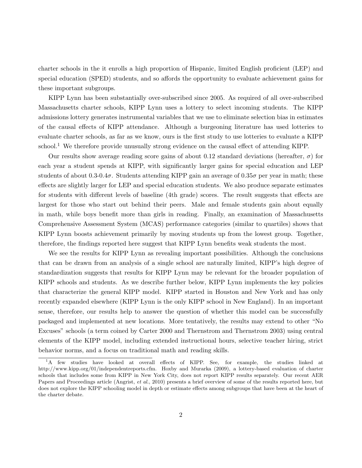charter schools in the it enrolls a high proportion of Hispanic, limited English proficient (LEP) and special education (SPED) students, and so affords the opportunity to evaluate achievement gains for these important subgroups.

KIPP Lynn has been substantially over-subscribed since 2005. As required of all over-subscribed Massachusetts charter schools, KIPP Lynn uses a lottery to select incoming students. The KIPP admissions lottery generates instrumental variables that we use to eliminate selection bias in estimates of the causal effects of KIPP attendance. Although a burgeoning literature has used lotteries to evaluate charter schools, as far as we know, ours is the first study to use lotteries to evaluate a KIPP school.<sup>1</sup> We therefore provide unusually strong evidence on the causal effect of attending KIPP.

Our results show average reading score gains of about 0.12 standard deviations (hereafter,  $\sigma$ ) for each year a student spends at KIPP, with significantly larger gains for special education and LEP students of about 0.3-0.4 $\sigma$ . Students attending KIPP gain an average of 0.35 $\sigma$  per year in math; these effects are slightly larger for LEP and special education students. We also produce separate estimates for students with different levels of baseline (4th grade) scores. The result suggests that effects are largest for those who start out behind their peers. Male and female students gain about equally in math, while boys benefit more than girls in reading. Finally, an examination of Massachusetts Comprehensive Assessment System (MCAS) performance categories (similar to quartiles) shows that KIPP Lynn boosts achievement primarily by moving students up from the lowest group. Together, therefore, the findings reported here suggest that KIPP Lynn benefits weak students the most.

We see the results for KIPP Lynn as revealing important possibilities. Although the conclusions that can be drawn from an analysis of a single school are naturally limited, KIPP's high degree of standardization suggests that results for KIPP Lynn may be relevant for the broader population of KIPP schools and students. As we describe further below, KIPP Lynn implements the key policies that characterize the general KIPP model. KIPP started in Houston and New York and has only recently expanded elsewhere (KIPP Lynn is the only KIPP school in New England). In an important sense, therefore, our results help to answer the question of whether this model can be successfully packaged and implemented at new locations. More tentatively, the results may extend to other "No Excuses" schools (a term coined by Carter 2000 and Thernstrom and Thernstrom 2003) using central elements of the KIPP model, including extended instructional hours, selective teacher hiring, strict behavior norms, and a focus on traditional math and reading skills.

<sup>&</sup>lt;sup>1</sup>A few studies have looked at overall effects of KIPP. See, for example, the studies linked at http://www.kipp.org/01/independentreports.cfm. Hoxby and Murarka (2009), a lottery-based evaluation of charter schools that includes some from KIPP in New York City, does not report KIPP results separately. Our recent AER Papers and Proceedings article (Angrist, et al., 2010) presents a brief overview of some of the results reported here, but does not explore the KIPP schooling model in depth or estimate effects among subgroups that have been at the heart of the charter debate.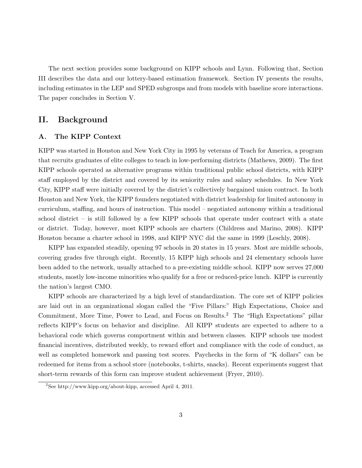The next section provides some background on KIPP schools and Lynn. Following that, Section III describes the data and our lottery-based estimation framework. Section IV presents the results, including estimates in the LEP and SPED subgroups and from models with baseline score interactions. The paper concludes in Section V.

### II. Background

### A. The KIPP Context

KIPP was started in Houston and New York City in 1995 by veterans of Teach for America, a program that recruits graduates of elite colleges to teach in low-performing districts (Mathews, 2009). The first KIPP schools operated as alternative programs within traditional public school districts, with KIPP staff employed by the district and covered by its seniority rules and salary schedules. In New York City, KIPP staff were initially covered by the district's collectively bargained union contract. In both Houston and New York, the KIPP founders negotiated with district leadership for limited autonomy in curriculum, staffing, and hours of instruction. This model – negotiated autonomy within a traditional school district – is still followed by a few KIPP schools that operate under contract with a state or district. Today, however, most KIPP schools are charters (Childress and Marino, 2008). KIPP Houston became a charter school in 1998, and KIPP NYC did the same in 1999 (Leschly, 2008).

KIPP has expanded steadily, opening 97 schools in 20 states in 15 years. Most are middle schools, covering grades five through eight. Recently, 15 KIPP high schools and 24 elementary schools have been added to the network, usually attached to a pre-existing middle school. KIPP now serves 27,000 students, mostly low-income minorities who qualify for a free or reduced-price lunch. KIPP is currently the nation's largest CMO.

KIPP schools are characterized by a high level of standardization. The core set of KIPP policies are laid out in an organizational slogan called the "Five Pillars:" High Expectations, Choice and Commitment, More Time, Power to Lead, and Focus on Results.<sup>2</sup> The "High Expectations" pillar reflects KIPP's focus on behavior and discipline. All KIPP students are expected to adhere to a behavioral code which governs comportment within and between classes. KIPP schools use modest financial incentives, distributed weekly, to reward effort and compliance with the code of conduct, as well as completed homework and passing test scores. Paychecks in the form of "K dollars" can be redeemed for items from a school store (notebooks, t-shirts, snacks). Recent experiments suggest that short-term rewards of this form can improve student achievement (Fryer, 2010).

<sup>&</sup>lt;sup>2</sup>See http://www.kipp.org/about-kipp, accessed April 4, 2011.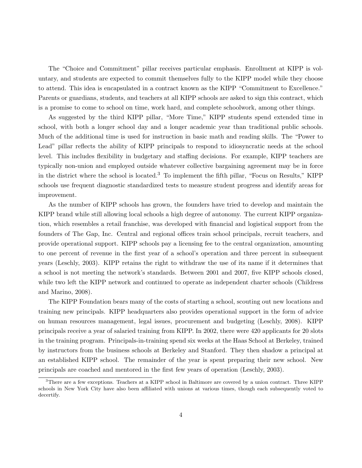The "Choice and Commitment" pillar receives particular emphasis. Enrollment at KIPP is voluntary, and students are expected to commit themselves fully to the KIPP model while they choose to attend. This idea is encapsulated in a contract known as the KIPP "Commitment to Excellence." Parents or guardians, students, and teachers at all KIPP schools are asked to sign this contract, which is a promise to come to school on time, work hard, and complete schoolwork, among other things.

As suggested by the third KIPP pillar, "More Time," KIPP students spend extended time in school, with both a longer school day and a longer academic year than traditional public schools. Much of the additional time is used for instruction in basic math and reading skills. The "Power to Lead" pillar reflects the ability of KIPP principals to respond to idiosyncratic needs at the school level. This includes flexibility in budgetary and staffing decisions. For example, KIPP teachers are typically non-union and employed outside whatever collective bargaining agreement may be in force in the district where the school is located.<sup>3</sup> To implement the fifth pillar, "Focus on Results," KIPP schools use frequent diagnostic standardized tests to measure student progress and identify areas for improvement.

As the number of KIPP schools has grown, the founders have tried to develop and maintain the KIPP brand while still allowing local schools a high degree of autonomy. The current KIPP organization, which resembles a retail franchise, was developed with financial and logistical support from the founders of The Gap, Inc. Central and regional offices train school principals, recruit teachers, and provide operational support. KIPP schools pay a licensing fee to the central organization, amounting to one percent of revenue in the first year of a school's operation and three percent in subsequent years (Leschly, 2003). KIPP retains the right to withdraw the use of its name if it determines that a school is not meeting the network's standards. Between 2001 and 2007, five KIPP schools closed, while two left the KIPP network and continued to operate as independent charter schools (Childress and Marino, 2008).

The KIPP Foundation bears many of the costs of starting a school, scouting out new locations and training new principals. KIPP headquarters also provides operational support in the form of advice on human resources management, legal issues, procurement and budgeting (Leschly, 2008). KIPP principals receive a year of salaried training from KIPP. In 2002, there were 420 applicants for 20 slots in the training program. Principals-in-training spend six weeks at the Haas School at Berkeley, trained by instructors from the business schools at Berkeley and Stanford. They then shadow a principal at an established KIPP school. The remainder of the year is spent preparing their new school. New principals are coached and mentored in the first few years of operation (Leschly, 2003).

<sup>&</sup>lt;sup>3</sup>There are a few exceptions. Teachers at a KIPP school in Baltimore are covered by a union contract. Three KIPP schools in New York City have also been affiliated with unions at various times, though each subsequently voted to decertify.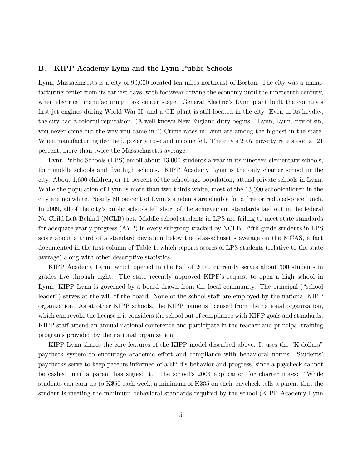### B. KIPP Academy Lynn and the Lynn Public Schools

Lynn, Massachusetts is a city of 90,000 located ten miles northeast of Boston. The city was a manufacturing center from its earliest days, with footwear driving the economy until the nineteenth century, when electrical manufacturing took center stage. General Electric's Lynn plant built the country's first jet engines during World War II, and a GE plant is still located in the city. Even in its heyday, the city had a colorful reputation. (A well-known New England ditty begins: "Lynn, Lynn, city of sin, you never come out the way you came in.") Crime rates in Lynn are among the highest in the state. When manufacturing declined, poverty rose and income fell. The city's 2007 poverty rate stood at 21 percent, more than twice the Massachusetts average.

Lynn Public Schools (LPS) enroll about 13,000 students a year in its nineteen elementary schools, four middle schools and five high schools. KIPP Academy Lynn is the only charter school in the city. About 1,600 children, or 11 percent of the school-age population, attend private schools in Lynn. While the population of Lynn is more than two-thirds white, most of the 13,000 schoolchildren in the city are nonwhite. Nearly 80 percent of Lynn's students are eligible for a free or reduced-price lunch. In 2009, all of the city's public schools fell short of the achievement standards laid out in the federal No Child Left Behind (NCLB) act. Middle school students in LPS are failing to meet state standards for adequate yearly progress (AYP) in every subgroup tracked by NCLB. Fifth-grade students in LPS score about a third of a standard deviation below the Massachusetts average on the MCAS, a fact documented in the first column of Table 1, which reports scores of LPS students (relative to the state average) along with other descriptive statistics.

KIPP Academy Lynn, which opened in the Fall of 2004, currently serves about 300 students in grades five through eight. The state recently approved KIPP's request to open a high school in Lynn. KIPP Lynn is governed by a board drawn from the local community. The principal ("school leader") serves at the will of the board. None of the school staff are employed by the national KIPP organization. As at other KIPP schools, the KIPP name is licensed from the national organization, which can revoke the license if it considers the school out of compliance with KIPP goals and standards. KIPP staff attend an annual national conference and participate in the teacher and principal training programs provided by the national organization.

KIPP Lynn shares the core features of the KIPP model described above. It uses the "K dollars" paycheck system to encourage academic effort and compliance with behavioral norms. Students' paychecks serve to keep parents informed of a child's behavior and progress, since a paycheck cannot be cashed until a parent has signed it. The school's 2003 application for charter notes: "While students can earn up to K\$50 each week, a minimum of K\$35 on their paycheck tells a parent that the student is meeting the minimum behavioral standards required by the school (KIPP Academy Lynn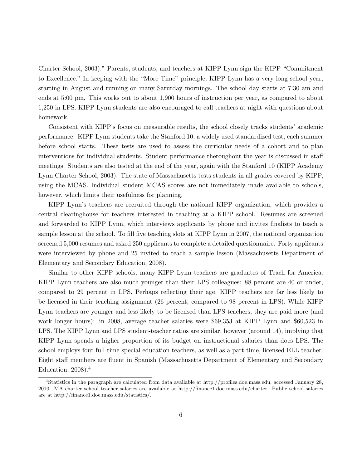Charter School, 2003)." Parents, students, and teachers at KIPP Lynn sign the KIPP "Commitment to Excellence." In keeping with the "More Time" principle, KIPP Lynn has a very long school year, starting in August and running on many Saturday mornings. The school day starts at 7:30 am and ends at 5:00 pm. This works out to about 1,900 hours of instruction per year, as compared to about 1,250 in LPS. KIPP Lynn students are also encouraged to call teachers at night with questions about homework.

Consistent with KIPP's focus on measurable results, the school closely tracks students' academic performance. KIPP Lynn students take the Stanford 10, a widely used standardized test, each summer before school starts. These tests are used to assess the curricular needs of a cohort and to plan interventions for individual students. Student performance theroughout the year is discussed in staff meetings. Students are also tested at the end of the year, again with the Stanford 10 (KIPP Academy Lynn Charter School, 2003). The state of Massachusetts tests students in all grades covered by KIPP, using the MCAS. Individual student MCAS scores are not immediately made available to schools, however, which limits their usefulness for planning.

KIPP Lynn's teachers are recruited through the national KIPP organization, which provides a central clearinghouse for teachers interested in teaching at a KIPP school. Resumes are screened and forwarded to KIPP Lynn, which interviews applicants by phone and invites finalists to teach a sample lesson at the school. To fill five teaching slots at KIPP Lynn in 2007, the national organization screened 5,000 resumes and asked 250 applicants to complete a detailed questionnaire. Forty applicants were interviewed by phone and 25 invited to teach a sample lesson (Massachusetts Department of Elementary and Secondary Education, 2008).

Similar to other KIPP schools, many KIPP Lynn teachers are graduates of Teach for America. KIPP Lynn teachers are also much younger than their LPS colleagues: 88 percent are 40 or under, compared to 29 percent in LPS. Perhaps reflecting their age, KIPP teachers are far less likely to be licensed in their teaching assignment (26 percent, compared to 98 percent in LPS). While KIPP Lynn teachers are younger and less likely to be licensed than LPS teachers, they are paid more (and work longer hours): in 2008, average teacher salaries were \$69,353 at KIPP Lynn and \$60,523 in LPS. The KIPP Lynn and LPS student-teacher ratios are similar, however (around 14), implying that KIPP Lynn spends a higher proportion of its budget on instructional salaries than does LPS. The school employs four full-time special education teachers, as well as a part-time, licensed ELL teacher. Eight staff members are fluent in Spanish (Massachusetts Department of Elementary and Secondary Education,  $2008$ ).<sup>4</sup>

<sup>4</sup>Statistics in the paragraph are calculated from data available at http://profiles.doe.mass.edu, accessed January 28, 2010. MA charter school teacher salaries are available at http://finance1.doe.mass.edu/charter. Public school salaries are at http://finance1.doe.mass.edu/statistics/.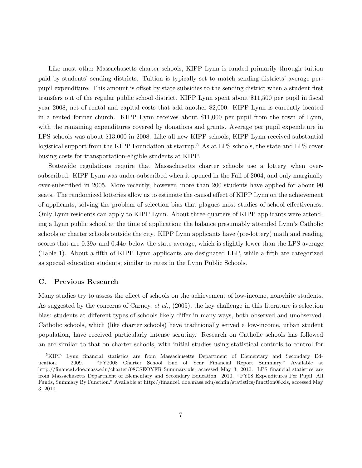Like most other Massachusetts charter schools, KIPP Lynn is funded primarily through tuition paid by students' sending districts. Tuition is typically set to match sending districts' average perpupil expenditure. This amount is offset by state subsidies to the sending district when a student first transfers out of the regular public school district. KIPP Lynn spent about \$11,500 per pupil in fiscal year 2008, net of rental and capital costs that add another \$2,000. KIPP Lynn is currently located in a rented former church. KIPP Lynn receives about \$11,000 per pupil from the town of Lynn, with the remaining expenditures covered by donations and grants. Average per pupil expenditure in LPS schools was about \$13,000 in 2008. Like all new KIPP schools, KIPP Lynn received substantial logistical support from the KIPP Foundation at startup.<sup>5</sup> As at LPS schools, the state and LPS cover busing costs for transportation-eligible students at KIPP.

Statewide regulations require that Massachusetts charter schools use a lottery when oversubscribed. KIPP Lynn was under-subscribed when it opened in the Fall of 2004, and only marginally over-subscribed in 2005. More recently, however, more than 200 students have applied for about 90 seats. The randomized lotteries allow us to estimate the causal effect of KIPP Lynn on the achievement of applicants, solving the problem of selection bias that plagues most studies of school effectiveness. Only Lynn residents can apply to KIPP Lynn. About three-quarters of KIPP applicants were attending a Lynn public school at the time of application; the balance presumably attended Lynn's Catholic schools or charter schools outside the city. KIPP Lynn applicants have (pre-lottery) math and reading scores that are  $0.39\sigma$  and  $0.44\sigma$  below the state average, which is slightly lower than the LPS average (Table 1). About a fifth of KIPP Lynn applicants are designated LEP, while a fifth are categorized as special education students, similar to rates in the Lynn Public Schools.

### C. Previous Research

Many studies try to assess the effect of schools on the achievement of low-income, nonwhite students. As suggested by the concerns of Carnoy, *et al.*,  $(2005)$ , the key challenge in this literature is selection bias: students at different types of schools likely differ in many ways, both observed and unobserved. Catholic schools, which (like charter schools) have traditionally served a low-income, urban student population, have received particularly intense scrutiny. Research on Catholic schools has followed an arc similar to that on charter schools, with initial studies using statistical controls to control for

<sup>&</sup>lt;sup>5</sup>KIPP Lynn financial statistics are from Massachusetts Department of Elementary and Secondary Education. 2009. "FY2008 Charter School End of Year Financial Report Summary." Available at http://finance1.doe.mass.edu/charter/08CSEOYFR Summary.xls, accessed May 3, 2010. LPS financial statistics are from Massachusetts Department of Elementary and Secondary Education. 2010. "FY08 Expenditures Per Pupil, All Funds, Summary By Function." Available at http://finance1.doe.mass.edu/schfin/statistics/function08.xls, accessed May 3, 2010.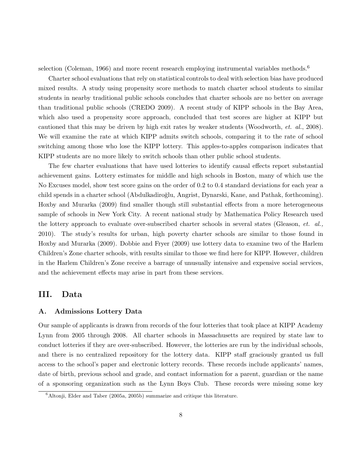selection (Coleman, 1966) and more recent research employing instrumental variables methods.<sup>6</sup>

Charter school evaluations that rely on statistical controls to deal with selection bias have produced mixed results. A study using propensity score methods to match charter school students to similar students in nearby traditional public schools concludes that charter schools are no better on average than traditional public schools (CREDO 2009). A recent study of KIPP schools in the Bay Area, which also used a propensity score approach, concluded that test scores are higher at KIPP but cautioned that this may be driven by high exit rates by weaker students (Woodworth, et. al., 2008). We will examine the rate at which KIPP admits switch schools, comparing it to the rate of school switching among those who lose the KIPP lottery. This apples-to-apples comparison indicates that KIPP students are no more likely to switch schools than other public school students.

The few charter evaluations that have used lotteries to identify causal effects report substantial achievement gains. Lottery estimates for middle and high schools in Boston, many of which use the No Excuses model, show test score gains on the order of 0.2 to 0.4 standard deviations for each year a child spends in a charter school (Abdulkadiroğlu, Angrist, Dynarski, Kane, and Pathak, forthcoming). Hoxby and Murarka (2009) find smaller though still substantial effects from a more heterogeneous sample of schools in New York City. A recent national study by Mathematica Policy Research used the lottery approach to evaluate over-subscribed charter schools in several states (Gleason, *et. al.*, 2010). The study's results for urban, high poverty charter schools are similar to those found in Hoxby and Murarka (2009). Dobbie and Fryer (2009) use lottery data to examine two of the Harlem Children's Zone charter schools, with results similar to those we find here for KIPP. However, children in the Harlem Children's Zone receive a barrage of unusually intensive and expensive social services, and the achievement effects may arise in part from these services.

### III. Data

### A. Admissions Lottery Data

Our sample of applicants is drawn from records of the four lotteries that took place at KIPP Academy Lynn from 2005 through 2008. All charter schools in Massachusetts are required by state law to conduct lotteries if they are over-subscribed. However, the lotteries are run by the individual schools, and there is no centralized repository for the lottery data. KIPP staff graciously granted us full access to the school's paper and electronic lottery records. These records include applicants' names, date of birth, previous school and grade, and contact information for a parent, guardian or the name of a sponsoring organization such as the Lynn Boys Club. These records were missing some key

 $6$ Altonji, Elder and Taber (2005a, 2005b) summarize and critique this literature.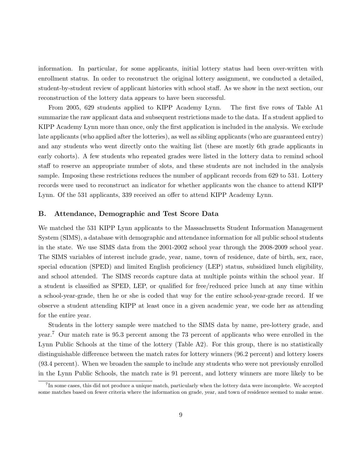information. In particular, for some applicants, initial lottery status had been over-written with enrollment status. In order to reconstruct the original lottery assignment, we conducted a detailed, student-by-student review of applicant histories with school staff. As we show in the next section, our reconstruction of the lottery data appears to have been successful.

From 2005, 629 students applied to KIPP Academy Lynn. The first five rows of Table A1 summarize the raw applicant data and subsequent restrictions made to the data. If a student applied to KIPP Academy Lynn more than once, only the first application is included in the analysis. We exclude late applicants (who applied after the lotteries), as well as sibling applicants (who are guaranteed entry) and any students who went directly onto the waiting list (these are mostly 6th grade applicants in early cohorts). A few students who repeated grades were listed in the lottery data to remind school staff to reserve an appropriate number of slots, and these students are not included in the analysis sample. Imposing these restrictions reduces the number of applicant records from 629 to 531. Lottery records were used to reconstruct an indicator for whether applicants won the chance to attend KIPP Lynn. Of the 531 applicants, 339 received an offer to attend KIPP Academy Lynn.

### B. Attendance, Demographic and Test Score Data

We matched the 531 KIPP Lynn applicants to the Massachusetts Student Information Management System (SIMS), a database with demographic and attendance information for all public school students in the state. We use SIMS data from the 2001-2002 school year through the 2008-2009 school year. The SIMS variables of interest include grade, year, name, town of residence, date of birth, sex, race, special education (SPED) and limited English proficiency (LEP) status, subsidized lunch eligibility, and school attended. The SIMS records capture data at multiple points within the school year. If a student is classified as SPED, LEP, or qualified for free/reduced price lunch at any time within a school-year-grade, then he or she is coded that way for the entire school-year-grade record. If we observe a student attending KIPP at least once in a given academic year, we code her as attending for the entire year.

Students in the lottery sample were matched to the SIMS data by name, pre-lottery grade, and year.<sup>7</sup> Our match rate is 95.3 percent among the 73 percent of applicants who were enrolled in the Lynn Public Schools at the time of the lottery (Table A2). For this group, there is no statistically distinguishable difference between the match rates for lottery winners (96.2 percent) and lottery losers (93.4 percent). When we broaden the sample to include any students who were not previously enrolled in the Lynn Public Schools, the match rate is 91 percent, and lottery winners are more likely to be

<sup>&</sup>lt;sup>7</sup>In some cases, this did not produce a unique match, particularly when the lottery data were incomplete. We accepted some matches based on fewer criteria where the information on grade, year, and town of residence seemed to make sense.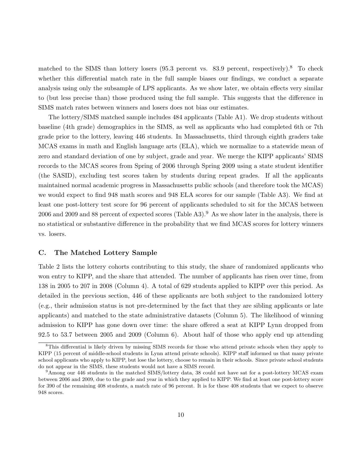matched to the SIMS than lottery losers (95.3 percent vs. 83.9 percent, respectively).<sup>8</sup> To check whether this differential match rate in the full sample biases our findings, we conduct a separate analysis using only the subsample of LPS applicants. As we show later, we obtain effects very similar to (but less precise than) those produced using the full sample. This suggests that the difference in SIMS match rates between winners and losers does not bias our estimates.

The lottery/SIMS matched sample includes 484 applicants (Table A1). We drop students without baseline (4th grade) demographics in the SIMS, as well as applicants who had completed 6th or 7th grade prior to the lottery, leaving 446 students. In Massachusetts, third through eighth graders take MCAS exams in math and English language arts (ELA), which we normalize to a statewide mean of zero and standard deviation of one by subject, grade and year. We merge the KIPP applicants' SIMS records to the MCAS scores from Spring of 2006 through Spring 2009 using a state student identifier (the SASID), excluding test scores taken by students during repeat grades. If all the applicants maintained normal academic progress in Massachusetts public schools (and therefore took the MCAS) we would expect to find 948 math scores and 948 ELA scores for our sample (Table A3). We find at least one post-lottery test score for 96 percent of applicants scheduled to sit for the MCAS between 2006 and 2009 and 88 percent of expected scores (Table A3).<sup>9</sup> As we show later in the analysis, there is no statistical or substantive difference in the probability that we find MCAS scores for lottery winners vs. losers.

### C. The Matched Lottery Sample

Table 2 lists the lottery cohorts contributing to this study, the share of randomized applicants who won entry to KIPP, and the share that attended. The number of applicants has risen over time, from 138 in 2005 to 207 in 2008 (Column 4). A total of 629 students applied to KIPP over this period. As detailed in the previous section, 446 of these applicants are both subject to the randomized lottery (e.g., their admission status is not pre-determined by the fact that they are sibling applicants or late applicants) and matched to the state administrative datasets (Column 5). The likelihood of winning admission to KIPP has gone down over time: the share offered a seat at KIPP Lynn dropped from 92.5 to 53.7 between 2005 and 2009 (Column 6). About half of those who apply end up attending

<sup>8</sup>This differential is likely driven by missing SIMS records for those who attend private schools when they apply to KIPP (15 percent of middle-school students in Lynn attend private schools). KIPP staff informed us that many private school applicants who apply to KIPP, but lose the lottery, choose to remain in their schools. Since private school students do not appear in the SIMS, these students would not have a SIMS record.

<sup>&</sup>lt;sup>9</sup>Among our 446 students in the matched SIMS/lottery data, 38 could not have sat for a post-lottery MCAS exam between 2006 and 2009, due to the grade and year in which they applied to KIPP. We find at least one post-lottery score for 390 of the remaining 408 students, a match rate of 96 percent. It is for these 408 students that we expect to observe 948 scores.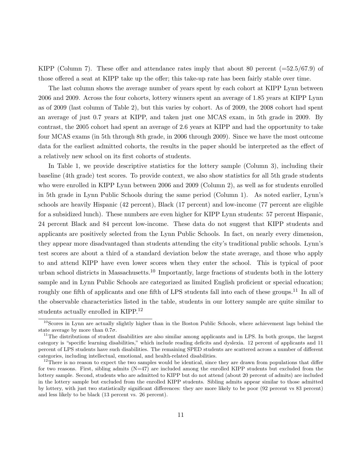KIPP (Column 7). These offer and attendance rates imply that about 80 percent  $(=52.5/67.9)$  of those offered a seat at KIPP take up the offer; this take-up rate has been fairly stable over time.

The last column shows the average number of years spent by each cohort at KIPP Lynn between 2006 and 2009. Across the four cohorts, lottery winners spent an average of 1.85 years at KIPP Lynn as of 2009 (last column of Table 2), but this varies by cohort. As of 2009, the 2008 cohort had spent an average of just 0.7 years at KIPP, and taken just one MCAS exam, in 5th grade in 2009. By contrast, the 2005 cohort had spent an average of 2.6 years at KIPP and had the opportunity to take four MCAS exams (in 5th through 8th grade, in 2006 through 2009). Since we have the most outcome data for the earliest admitted cohorts, the results in the paper should be interpreted as the effect of a relatively new school on its first cohorts of students.

In Table 1, we provide descriptive statistics for the lottery sample (Column 3), including their baseline (4th grade) test scores. To provide context, we also show statistics for all 5th grade students who were enrolled in KIPP Lynn between 2006 and 2009 (Column 2), as well as for students enrolled in 5th grade in Lynn Public Schools during the same period (Column 1). As noted earlier, Lynn's schools are heavily Hispanic (42 percent), Black (17 percent) and low-income (77 percent are eligible for a subsidized lunch). These numbers are even higher for KIPP Lynn students: 57 percent Hispanic, 24 percent Black and 84 percent low-income. These data do not suggest that KIPP students and applicants are positively selected from the Lynn Public Schools. In fact, on nearly every dimension, they appear more disadvantaged than students attending the city's traditional public schools. Lynn's test scores are about a third of a standard deviation below the state average, and those who apply to and attend KIPP have even lower scores when they enter the school. This is typical of poor urban school districts in Massachusetts.<sup>10</sup> Importantly, large fractions of students both in the lottery sample and in Lynn Public Schools are categorized as limited English proficient or special education; roughly one fifth of applicants and one fifth of LPS students fall into each of these groups.<sup>11</sup> In all of the observable characteristics listed in the table, students in our lottery sample are quite similar to students actually enrolled in KIPP.<sup>12</sup>

<sup>&</sup>lt;sup>10</sup>Scores in Lynn are actually slightly higher than in the Boston Public Schools, where achievement lags behind the state average by more than  $0.7\sigma$ .

 $11$ The distributions of student disabilities are also similar among applicants and in LPS. In both groups, the largest category is "specific learning disabilities," which include reading deficits and dyslexia. 12 percent of applicants and 11 percent of LPS students have such disabilities. The remaining SPED students are scattered across a number of different categories, including intellectual, emotional, and health-related disabilities.

<sup>&</sup>lt;sup>12</sup>There is no reason to expect the two samples would be identical, since they are drawn from populations that differ for two reasons. First, sibling admits (N=47) are included among the enrolled KIPP students but excluded from the lottery sample. Second, students who are admitted to KIPP but do not attend (about 20 percent of admits) are included in the lottery sample but excluded from the enrolled KIPP students. Sibling admits appear similar to those admitted by lottery, with just two statistically significant differences: they are more likely to be poor (92 percent vs 83 percent) and less likely to be black (13 percent vs. 26 percent).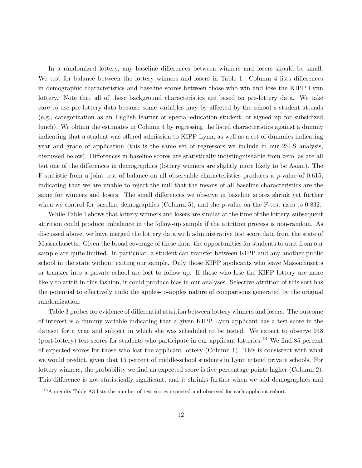In a randomized lottery, any baseline differences between winners and losers should be small. We test for balance between the lottery winners and losers in Table 1. Column 4 lists differences in demographic characteristics and baseline scores between those who win and lose the KIPP Lynn lottery. Note that all of these background characteristics are based on pre-lottery data. We take care to use pre-lottery data because some variables may by affected by the school a student attends (e.g., categorization as an English learner or special-education student, or signed up for subsidized lunch). We obtain the estimates in Column 4 by regressing the listed characteristics against a dummy indicating that a student was offered admission to KIPP Lynn, as well as a set of dummies indicating year and grade of application (this is the same set of regressors we include in our 2SLS analysis, discussed below). Differences in baseline scores are statistically indistinguishable from zero, as are all but one of the differences in demographics (lottery winners are slightly more likely to be Asian). The F-statistic from a joint test of balance on all observable characteristics produces a p-value of 0.615, indicating that we are unable to reject the null that the means of all baseline characteristics are the same for winners and losers. The small differences we observe in baseline scores shrink yet further when we control for baseline demographics (Column 5), and the p-value on the F-test rises to 0.832.

While Table 1 shows that lottery winners and losers are similar at the time of the lottery, subsequent attrition could produce imbalance in the follow-up sample if the attrition process is non-random. As discussed above, we have merged the lottery data with administrative test score data from the state of Massachusetts. Given the broad coverage of these data, the opportunities for students to atrit from our sample are quite limited. In particular, a student can transfer between KIPP and any another public school in the state without exiting our sample. Only those KIPP applicants who leave Massachusetts or transfer into a private school are lost to follow-up. If those who lose the KIPP lottery are more likely to attrit in this fashion, it could produce bias in our analyses. Selective attrition of this sort has the potential to effectively undo the apples-to-apples nature of comparisons generated by the original randomization.

Table 3 probes for evidence of differential attrition between lottery winners and losers. The outcome of interest is a dummy variable indicating that a given KIPP Lynn applicant has a test score in the dataset for a year and subject in which she was scheduled to be tested. We expect to observe 948 (post-lottery) test scores for students who participate in our applicant lotteries.<sup>13</sup> We find 85 percent of expected scores for those who lost the applicant lottery (Column 1). This is consistent with what we would predict, given that 15 percent of middle-school students in Lynn attend private schools. For lottery winners, the probability we find an expected score is five percentage points higher (Column 2). This difference is not statistically significant, and it shrinks further when we add demographics and

<sup>&</sup>lt;sup>13</sup> Appendix Table A3 lists the number of test scores expected and observed for each applicant cohort.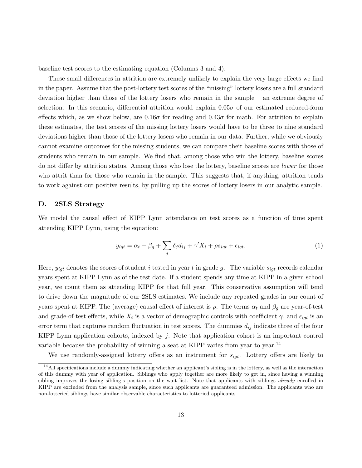baseline test scores to the estimating equation (Columns 3 and 4).

These small differences in attrition are extremely unlikely to explain the very large effects we find in the paper. Assume that the post-lottery test scores of the "missing" lottery losers are a full standard deviation higher than those of the lottery losers who remain in the sample – an extreme degree of selection. In this scenario, differential attrition would explain  $0.05\sigma$  of our estimated reduced-form effects which, as we show below, are  $0.16\sigma$  for reading and  $0.43\sigma$  for math. For attrition to explain these estimates, the test scores of the missing lottery losers would have to be three to nine standard deviations higher than those of the lottery losers who remain in our data. Further, while we obviously cannot examine outcomes for the missing students, we can compare their baseline scores with those of students who remain in our sample. We find that, among those who win the lottery, baseline scores do not differ by attrition status. Among those who lose the lottery, baseline scores are *lower* for those who attrit than for those who remain in the sample. This suggests that, if anything, attrition tends to work against our positive results, by pulling up the scores of lottery losers in our analytic sample.

### D. 2SLS Strategy

We model the causal effect of KIPP Lynn attendance on test scores as a function of time spent attending KIPP Lynn, using the equation:

$$
y_{igt} = \alpha_t + \beta_g + \sum_j \delta_j d_{ij} + \gamma' X_i + \rho s_{igt} + \epsilon_{igt}.
$$
\n(1)

Here,  $y_{iqt}$  denotes the scores of student i tested in year t in grade g. The variable  $s_{iqt}$  records calendar years spent at KIPP Lynn as of the test date. If a student spends any time at KIPP in a given school year, we count them as attending KIPP for that full year. This conservative assumption will tend to drive down the magnitude of our 2SLS estimates. We include any repeated grades in our count of years spent at KIPP. The (average) causal effect of interest is  $\rho$ . The terms  $\alpha_t$  and  $\beta_q$  are year-of-test and grade-of-test effects, while  $X_i$  is a vector of demographic controls with coefficient  $\gamma$ , and  $\epsilon_{igt}$  is an error term that captures random fluctuation in test scores. The dummies  $d_{ij}$  indicate three of the four KIPP Lynn application cohorts, indexed by  $j$ . Note that application cohort is an important control variable because the probability of winning a seat at KIPP varies from year to year.<sup>14</sup>

We use randomly-assigned lottery offers as an instrument for  $s_{iqt}$ . Lottery offers are likely to

 $14$ All specifications include a dummy indicating whether an applicant's sibling is in the lottery, as well as the interaction of this dummy with year of application. Siblings who apply together are more likely to get in, since having a winning sibling improves the losing sibling's position on the wait list. Note that applicants with siblings *already* enrolled in KIPP are excluded from the analysis sample, since such applicants are guaranteed admission. The applicants who are non-lotteried siblings have similar observable characteristics to lotteried applicants.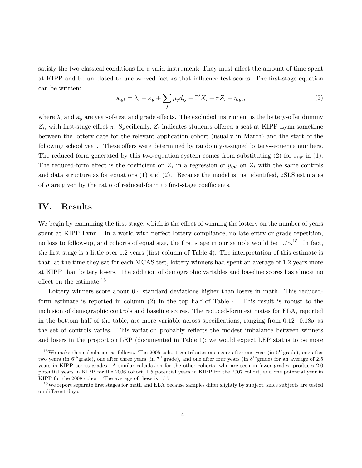satisfy the two classical conditions for a valid instrument: They must affect the amount of time spent at KIPP and be unrelated to unobserved factors that influence test scores. The first-stage equation can be written:

$$
s_{igt} = \lambda_t + \kappa_g + \sum_j \mu_j d_{ij} + \Gamma' X_i + \pi Z_i + \eta_{igt},\tag{2}
$$

where  $\lambda_t$  and  $\kappa_g$  are year-of-test and grade effects. The excluded instrument is the lottery-offer dummy  $Z_i$ , with first-stage effect  $\pi$ . Specifically,  $Z_i$  indicates students offered a seat at KIPP Lynn sometime between the lottery date for the relevant application cohort (usually in March) and the start of the following school year. These offers were determined by randomly-assigned lottery-sequence numbers. The reduced form generated by this two-equation system comes from substituting (2) for  $s_{iqt}$  in (1). The reduced-form effect is the coefficient on  $Z_i$  in a regression of  $y_{igt}$  on  $Z_i$  with the same controls and data structure as for equations (1) and (2). Because the model is just identified, 2SLS estimates of  $\rho$  are given by the ratio of reduced-form to first-stage coefficients.

### IV. Results

We begin by examining the first stage, which is the effect of winning the lottery on the number of years spent at KIPP Lynn. In a world with perfect lottery compliance, no late entry or grade repetition, no loss to follow-up, and cohorts of equal size, the first stage in our sample would be  $1.75^{15}$  In fact, the first stage is a little over 1.2 years (first column of Table 4). The interpretation of this estimate is that, at the time they sat for each MCAS test, lottery winners had spent an average of 1.2 years more at KIPP than lottery losers. The addition of demographic variables and baseline scores has almost no effect on the estimate.<sup>16</sup>

Lottery winners score about 0.4 standard deviations higher than losers in math. This reducedform estimate is reported in column (2) in the top half of Table 4. This result is robust to the inclusion of demographic controls and baseline scores. The reduced-form estimates for ELA, reported in the bottom half of the table, are more variable across specifications, ranging from  $0.12-0.18\sigma$  as the set of controls varies. This variation probably reflects the modest imbalance between winners and losers in the proportion LEP (documented in Table 1); we would expect LEP status to be more

<sup>&</sup>lt;sup>15</sup>We make this calculation as follows. The 2005 cohort contributes one score after one year (in  $5<sup>th</sup>$ grade), one after two years (in  $6^{th}$ grade), one after three years (in  $7^{th}$ grade), and one after four years (in  $8^{th}$ grade) for an average of 2.5 years in KIPP across grades. A similar calculation for the other cohorts, who are seen in fewer grades, produces 2.0 potential years in KIPP for the 2006 cohort, 1.5 potential years in KIPP for the 2007 cohort, and one potential year in KIPP for the 2008 cohort. The average of these is 1.75.

<sup>&</sup>lt;sup>16</sup>We report separate first stages for math and ELA because samples differ slightly by subject, since subjects are tested on different days.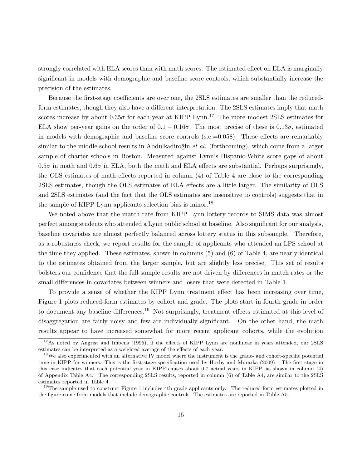strongly correlated with ELA scores than with math scores. The estimated effect on ELA is marginally significant in models with demographic and baseline score controls, which substantially increase the precision of the estimates.

Because the first-stage coefficients are over one, the 2SLS estimates are smaller than the reducedform estimates, though they also have a different interpretation. The 2SLS estimates imply that math scores increase by about  $0.35\sigma$  for each year at KIPP Lynn.<sup>17</sup> The more modest 2SLS estimates for ELA show per-year gains on the order of  $0.1 - 0.16\sigma$ . The most precise of these is  $0.13\sigma$ , estimated in models with demographic and baseline score controls (s.e.=0.058). These effects are remarkably similar to the middle school results in Abdulkadiro $\breve{\text{gl}}$ u *et al.* (forthcoming), which come from a larger sample of charter schools in Boston. Measured against Lynn's Hispanic-White score gaps of about  $0.5\sigma$  in math and  $0.6\sigma$  in ELA, both the math and ELA effects are substantial. Perhaps surprisingly, the OLS estimates of math effects reported in column (4) of Table 4 are close to the corresponding 2SLS estimates, though the OLS estimates of ELA effects are a little larger. The similarity of OLS and 2SLS estimates (and the fact that the OLS estimates are insensitive to controls) suggests that in the sample of KIPP Lynn applicants selection bias is minor.<sup>18</sup>

We noted above that the match rate from KIPP Lynn lottery records to SIMS data was almost perfect among students who attended a Lynn public school at baseline. Also significant for our analysis, baseline covariates are almost perfectly balanced across lottery status in this subsample. Therefore, as a robustness check, we report results for the sample of applicants who attended an LPS school at the time they applied. These estimates, shown in columns (5) and (6) of Table 4, are nearly identical to the estimates obtained from the larger sample, but are slightly less precise. This set of results bolsters our confidence that the full-sample results are not driven by differences in match rates or the small differences in covariates between winners and losers that were detected in Table 1.

To provide a sense of whether the KIPP Lynn treatment effect has been increasing over time, Figure 1 plots reduced-form estimates by cohort and grade. The plots start in fourth grade in order to document any baseline differences.<sup>19</sup> Not surprisingly, treatment effects estimated at this level of disaggregation are fairly noisy and few are individually significant. On the other hand, the math results appear to have increased somewhat for more recent applicant cohorts, while the evolution

<sup>&</sup>lt;sup>17</sup>As noted by Angrist and Imbens (1995), if the effects of KIPP Lynn are nonlinear in years attended, our 2SLS estimates can be interpreted as a weighted average of the effects of each year.

<sup>&</sup>lt;sup>18</sup>We also experimented with an alternative IV model where the instrument is the grade- and cohort-specific potential time in KIPP for winners. This is the first-stage specification used by Hoxby and Murarka (2009). The first stage in this case indicates that each potential year in KIPP causes about 0.7 actual years in KIPP, as shown in column (4) of Appendix Table A4. The corresponding 2SLS results, reported in column (6) of Table A4, are similar to the 2SLS estimates reported in Table 4.

<sup>&</sup>lt;sup>19</sup>The sample used to construct Figure 1 includes 4th grade applicants only. The reduced-form estimates plotted in the figure come from models that include demographic controls. The estimates are reported in Table A5.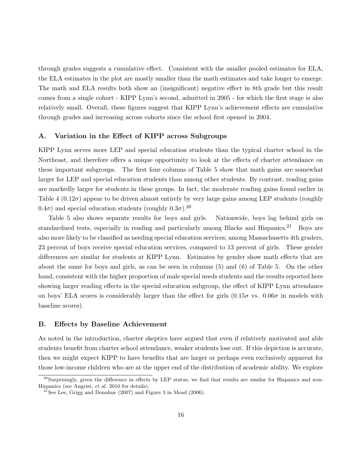through grades suggests a cumulative effect. Consistent with the smaller pooled estimates for ELA, the ELA estimates in the plot are mostly smaller than the math estimates and take longer to emerge. The math and ELA results both show an (insignificant) negative effect in 8th grade but this result comes from a single cohort - KIPP Lynn's second, admitted in 2005 - for which the first stage is also relatively small. Overall, these figures suggest that KIPP Lynn's achievement effects are cumulative through grades and increasing across cohorts since the school first opened in 2004.

### A. Variation in the Effect of KIPP across Subgroups

KIPP Lynn serves more LEP and special education students than the typical charter school in the Northeast, and therefore offers a unique opportunity to look at the effects of charter attendance on these important subgroups. The first four columns of Table 5 show that math gains are somewhat larger for LEP and special education students than among other students. By contrast, reading gains are markedly larger for students in these groups. In fact, the moderate reading gains found earlier in Table 4  $(0.12\sigma)$  appear to be driven almost entirely by very large gains among LEP students (roughly  $(0.4\sigma)$  and special education students (roughly  $(0.3\sigma)$ <sup>20</sup>

Table 5 also shows separate results for boys and girls. Nationwide, boys lag behind girls on standardized tests, especially in reading and particularly among Blacks and Hispanics.<sup>21</sup> Boys are also more likely to be classified as needing special education services; among Massachusetts 4th graders, 23 percent of boys receive special education services, compared to 13 percent of girls. These gender differences are similar for students at KIPP Lynn. Estimates by gender show math effects that are about the same for boys and girls, as can be seen in columns (5) and (6) of Table 5. On the other hand, consistent with the higher proportion of male special needs students and the results reported here showing larger reading effects in the special education subgroup, the effect of KIPP Lynn attendance on boys' ELA scores is considerably larger than the effect for girls  $(0.15\sigma \text{ vs. } 0.06\sigma \text{ in models with})$ baseline scores).

### B. Effects by Baseline Achievement

As noted in the introduction, charter skeptics have argued that even if relatively motivated and able students benefit from charter school attendance, weaker students lose out. If this depiction is accurate, then we might expect KIPP to have benefits that are larger or perhaps even exclusively apparent for those low-income children who are at the upper end of the distribution of academic ability. We explore

 $^{20}$ Surprisingly, given the difference in effects by LEP status, we find that results are similar for Hispanics and non-Hispanics (see Angrist, et al. 2010 for details).

<sup>&</sup>lt;sup>21</sup>See Lee, Grigg and Donahue  $(2007)$  and Figure 3 in Mead  $(2006)$ .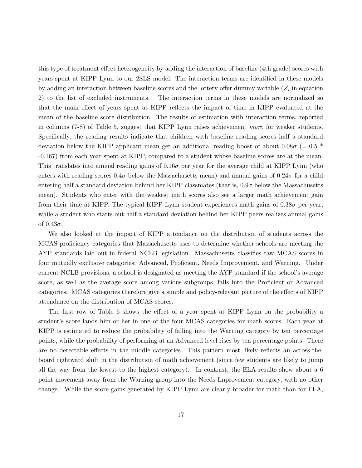this type of treatment effect heterogeneity by adding the interaction of baseline (4th grade) scores with years spent at KIPP Lynn to our 2SLS model. The interaction terms are identified in these models by adding an interaction between baseline scores and the lottery offer dummy variable  $(Z_i$  in equation 2) to the list of excluded instruments. The interaction terms in these models are normalized so that the main effect of years spent at KIPP reflects the impact of time in KIPP evaluated at the mean of the baseline score distribution. The results of estimation with interaction terms, reported in columns (7-8) of Table 5, suggest that KIPP Lynn raises achievement more for weaker students. Specifically, the reading results indicate that children with baseline reading scores half a standard deviation below the KIPP applicant mean get an additional reading boost of about  $0.08\sigma$  (=-0.5  $*$ -0.167) from each year spent at KIPP, compared to a student whose baseline scores are at the mean. This translates into annual reading gains of  $0.16\sigma$  per year for the average child at KIPP Lynn (who enters with reading scores  $0.4\sigma$  below the Massachusetts mean) and annual gains of  $0.24\sigma$  for a child entering half a standard deviation behind her KIPP classmates (that is,  $0.9\sigma$  below the Massachusetts mean). Students who enter with the weakest math scores also see a larger math achievement gain from their time at KIPP. The typical KIPP Lynn student experiences math gains of  $0.38\sigma$  per year, while a student who starts out half a standard deviation behind her KIPP peers realizes annual gains of  $0.43\sigma$ .

We also looked at the impact of KIPP attendance on the distribution of students across the MCAS proficiency categories that Massachusetts uses to determine whether schools are meeting the AYP standards laid out in federal NCLB legislation. Massachusetts classifies raw MCAS scores in four mutually exclusive categories: Advanced, Proficient, Needs Improvement, and Warning. Under current NCLB provisions, a school is designated as meeting the AYP standard if the school's average score, as well as the average score among various subgroups, falls into the Proficient or Advanced categories. MCAS categories therefore give a simple and policy-relevant picture of the effects of KIPP attendance on the distribution of MCAS scores.

The first row of Table 6 shows the effect of a year spent at KIPP Lynn on the probability a student's score lands him or her in one of the four MCAS categories for math scores. Each year at KIPP is estimated to reduce the probability of falling into the Warning category by ten percentage points, while the probability of performing at an Advanced level rises by ten percentage points. There are no detectable effects in the middle categories. This pattern most likely reflects an across-theboard rightward shift in the distribution of math achievement (since few students are likely to jump all the way from the lowest to the highest category). In contrast, the ELA results show about a 6 point movement away from the Warning group into the Needs Improvement category, with no other change. While the score gains generated by KIPP Lynn are clearly broader for math than for ELA,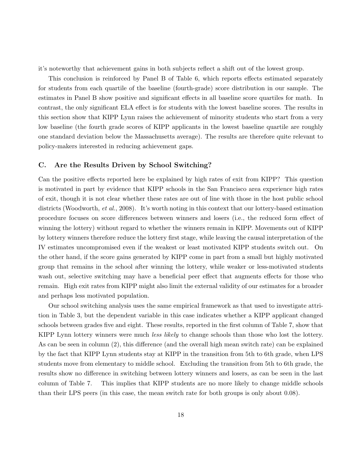it's noteworthy that achievement gains in both subjects reflect a shift out of the lowest group.

This conclusion is reinforced by Panel B of Table 6, which reports effects estimated separately for students from each quartile of the baseline (fourth-grade) score distribution in our sample. The estimates in Panel B show positive and significant effects in all baseline score quartiles for math. In contrast, the only significant ELA effect is for students with the lowest baseline scores. The results in this section show that KIPP Lynn raises the achievement of minority students who start from a very low baseline (the fourth grade scores of KIPP applicants in the lowest baseline quartile are roughly one standard deviation below the Massachusetts average). The results are therefore quite relevant to policy-makers interested in reducing achievement gaps.

### C. Are the Results Driven by School Switching?

Can the positive effects reported here be explained by high rates of exit from KIPP? This question is motivated in part by evidence that KIPP schools in the San Francisco area experience high rates of exit, though it is not clear whether these rates are out of line with those in the host public school districts (Woodworth, *et al.*, 2008). It's worth noting in this context that our lottery-based estimation procedure focuses on score differences between winners and losers (i.e., the reduced form effect of winning the lottery) without regard to whether the winners remain in KIPP. Movements out of KIPP by lottery winners therefore reduce the lottery first stage, while leaving the causal interpretation of the IV estimates uncompromised even if the weakest or least motivated KIPP students switch out. On the other hand, if the score gains generated by KIPP come in part from a small but highly motivated group that remains in the school after winning the lottery, while weaker or less-motivated students wash out, selective switching may have a beneficial peer effect that augments effects for those who remain. High exit rates from KIPP might also limit the external validity of our estimates for a broader and perhaps less motivated population.

Our school switching analysis uses the same empirical framework as that used to investigate attrition in Table 3, but the dependent variable in this case indicates whether a KIPP applicant changed schools between grades five and eight. These results, reported in the first column of Table 7, show that KIPP Lynn lottery winners were much *less likely* to change schools than those who lost the lottery. As can be seen in column (2), this difference (and the overall high mean switch rate) can be explained by the fact that KIPP Lynn students stay at KIPP in the transition from 5th to 6th grade, when LPS students move from elementary to middle school. Excluding the transition from 5th to 6th grade, the results show no difference in switching between lottery winners and losers, as can be seen in the last column of Table 7. This implies that KIPP students are no more likely to change middle schools than their LPS peers (in this case, the mean switch rate for both groups is only about 0.08).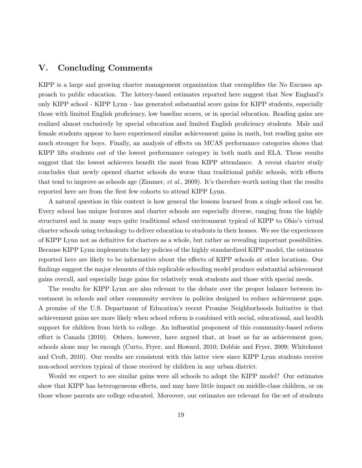### V. Concluding Comments

KIPP is a large and growing charter management organization that exemplifies the No Excuses approach to public education. The lottery-based estimates reported here suggest that New England's only KIPP school - KIPP Lynn - has generated substantial score gains for KIPP students, especially those with limited English proficiency, low baseline scores, or in special education. Reading gains are realized almost exclusively by special education and limited English proficiency students. Male and female students appear to have experienced similar achievement gains in math, but reading gains are much stronger for boys. Finally, an analysis of effects on MCAS performance categories shows that KIPP lifts students out of the lowest performance category in both math and ELA. These results suggest that the lowest achievers benefit the most from KIPP attendance. A recent charter study concludes that newly opened charter schools do worse than traditional public schools, with effects that tend to improve as schools age (Zimmer, *et al.*, 2009). It's therefore worth noting that the results reported here are from the first few cohorts to attend KIPP Lynn.

A natural question in this context is how general the lessons learned from a single school can be. Every school has unique features and charter schools are especially diverse, ranging from the highly structured and in many ways quite traditional school environment typical of KIPP to Ohio's virtual charter schools using technology to deliver education to students in their homes. We see the experiences of KIPP Lynn not as definitive for charters as a whole, but rather as revealing important possibilities. Because KIPP Lynn implements the key policies of the highly standardized KIPP model, the estimates reported here are likely to be informative about the effects of KIPP schools at other locations. Our findings suggest the major elements of this replicable schooling model produce substantial achievement gains overall, and especially large gains for relatively weak students and those with special needs.

The results for KIPP Lynn are also relevant to the debate over the proper balance between investment in schools and other community services in policies designed to reduce achievement gaps. A premise of the U.S. Department of Education's recent Promise Neighborhoods Initiative is that achievement gains are more likely when school reform is combined with social, educational, and health support for children from birth to college. An influential proponent of this community-based reform effort is Canada (2010). Others, however, have argued that, at least as far as achievement goes, schools alone may be enough (Curto, Fryer, and Howard, 2010; Dobbie and Fryer, 2009; Whitehurst and Croft, 2010). Our results are consistent with this latter view since KIPP Lynn students receive non-school services typical of those received by children in any urban district.

Would we expect to see similar gains were all schools to adopt the KIPP model? Our estimates show that KIPP has heterogeneous effects, and may have little impact on middle-class children, or on those whose parents are college educated. Moreover, our estimates are relevant for the set of students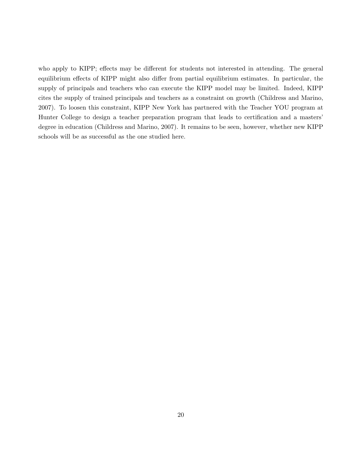who apply to KIPP; effects may be different for students not interested in attending. The general equilibrium effects of KIPP might also differ from partial equilibrium estimates. In particular, the supply of principals and teachers who can execute the KIPP model may be limited. Indeed, KIPP cites the supply of trained principals and teachers as a constraint on growth (Childress and Marino, 2007). To loosen this constraint, KIPP New York has partnered with the Teacher YOU program at Hunter College to design a teacher preparation program that leads to certification and a masters' degree in education (Childress and Marino, 2007). It remains to be seen, however, whether new KIPP schools will be as successful as the one studied here.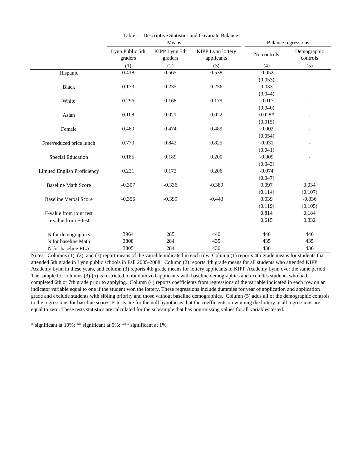|                              |                            |                          | Table 1: Descriptive Statistics and Covariate Balance |             |                            |
|------------------------------|----------------------------|--------------------------|-------------------------------------------------------|-------------|----------------------------|
|                              |                            | Means                    |                                                       |             | <b>Balance regressions</b> |
|                              | Lynn Public 5th<br>graders | KIPP Lynn 5th<br>graders |                                                       | No controls | Demographic<br>controls    |
|                              | (1)                        | (2)                      | (3)                                                   | (4)         | (5)                        |
| Hispanic                     | 0.418                      | 0.565                    | 0.538                                                 | $-0.052$    | $\overline{\phantom{a}}$   |
|                              |                            |                          |                                                       | (0.053)     |                            |
| <b>Black</b>                 | 0.173                      | 0.235                    | 0.256                                                 | 0.033       | $\qquad \qquad -$          |
|                              |                            |                          |                                                       | (0.044)     |                            |
| White                        | 0.296                      | 0.168                    | 0.179                                                 | $-0.017$    | $\overline{\phantom{a}}$   |
|                              |                            |                          |                                                       | (0.040)     |                            |
| Asian                        | 0.108                      | 0.021                    | 0.022                                                 | $0.028*$    |                            |
|                              |                            |                          |                                                       | (0.015)     |                            |
| Female                       | 0.480                      | 0.474                    | 0.489                                                 | $-0.002$    |                            |
|                              |                            |                          |                                                       | (0.054)     |                            |
| Free/reduced price lunch     | 0.770                      | 0.842                    | 0.825                                                 | $-0.031$    |                            |
|                              |                            |                          |                                                       | (0.041)     |                            |
| <b>Special Education</b>     | 0.185                      | 0.189                    | 0.200                                                 | $-0.009$    | $\overline{a}$             |
|                              |                            |                          |                                                       | (0.043)     |                            |
| Limited English Proficiency  | 0.221                      | 0.172                    | 0.206                                                 | $-0.074$    |                            |
|                              |                            |                          |                                                       | (0.047)     |                            |
| <b>Baseline Math Score</b>   | $-0.307$                   | $-0.336$                 | $-0.389$                                              | 0.097       | 0.034                      |
|                              |                            |                          |                                                       | (0.114)     | (0.107)                    |
| <b>Baseline Verbal Score</b> | $-0.356$                   | $-0.399$                 | $-0.443$                                              | 0.039       | $-0.036$                   |
|                              |                            |                          |                                                       | (0.119)     | (0.105)                    |
| F-value from joint test      |                            |                          |                                                       | 0.814       | 0.184                      |
| p-value from F-test          |                            |                          |                                                       | 0.615       | 0.832                      |
| N for demographics           | 3964                       | 285                      | 446                                                   | 446         | 446                        |
| N for baseline Math          | 3808                       | 284                      | 435                                                   | 435         | 435                        |
| N for baseline ELA           | 3805                       | 284                      | 436                                                   | 436         | 436                        |

Notes: Columns (1), (2), and (3) report means of the variable indicated in each row. Column (1) reports 4th grade means for students that attended 5th grade in Lynn public schools in Fall 2005-2008. Column (2) reports 4th grade means for all students who attended KIPP Academy Lynn in these years, and column (3) reports 4th grade means for lottery applicants to KIPP Academy Lynn over the same period. The sample for columns (3)-(5) is restricted to randomized applicants with baseline demographics and excludes students who had completed 6th or 7th grade prior to applying. Column (4) reports coefficients from regressions of the variable indicated in each row on an indicator variable equal to one if the student won the lottery. These regressions include dummies for year of application and application grade and exclude students with sibling priority and those without baseline demographics. Column (5) adds all of the demographic controls to the regressions for baseline scores. F-tests are for the null hypothesis that the coefficients on winning the lottery in all regressions are equal to zero. These tests statistics are calculated for the subsample that has non-missing values for all variables tested.

\* significant at 10%; \*\* significant at 5%; \*\*\* significant at 1%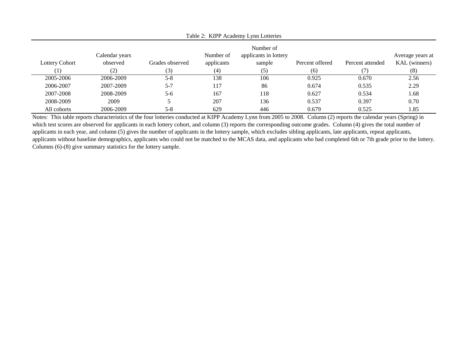| Lottery Cohort<br>[1] | Calendar years<br>observed<br>(2) | Grades observed<br>(3) | Number of<br>applicants<br>(4) | Number of<br>applicants in lottery<br>sample<br>(5) | Percent offered<br>(6) | Percent attended | Average years at<br>KAL (winners)<br>(8) |
|-----------------------|-----------------------------------|------------------------|--------------------------------|-----------------------------------------------------|------------------------|------------------|------------------------------------------|
| 2005-2006             | 2006-2009                         | $5 - 8$                | 138                            | 106                                                 | 0.925                  | 0.670            | 2.56                                     |
| 2006-2007             | 2007-2009                         | $5 - 7$                | 117                            | 86                                                  | 0.674                  | 0.535            | 2.29                                     |
| 2007-2008             | 2008-2009                         | $5 - 6$                | 167                            | 118                                                 | 0.627                  | 0.534            | 1.68                                     |
| 2008-2009             | 2009                              |                        | 207                            | 136                                                 | 0.537                  | 0.397            | 0.70                                     |
| All cohorts           | 2006-2009                         | $5 - 8$                | 629                            | 446                                                 | 0.679                  | 0.525            | 1.85                                     |

Table 2: KIPP Academy Lynn Lotteries

Notes: This table reports characteristics of the four lotteries conducted at KIPP Academy Lynn from 2005 to 2008. Column (2) reports the calendar years (Spring) in which test scores are observed for applicants in each lottery cohort, and column (3) reports the corresponding outcome grades. Column (4) gives the total number of applicants in each year, and column (5) gives the number of applicants in the lottery sample, which excludes sibling applicants, late applicants, repeat applicants, applicants without baseline demographics, applicants who could not be matched to the MCAS data, and applicants who had completed 6th or 7th grade prior to the lottery. Columns (6)-(8) give summary statistics for the lottery sample.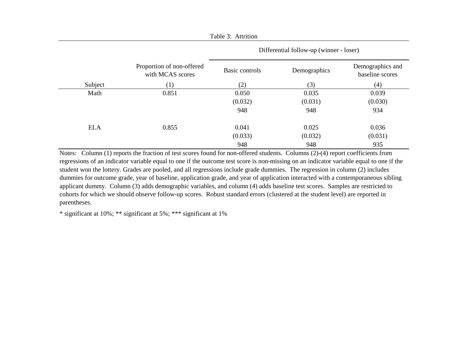|            |                                               | Differential follow-up (winner - loser) |              |                                     |  |  |  |
|------------|-----------------------------------------------|-----------------------------------------|--------------|-------------------------------------|--|--|--|
|            | Proportion of non-offered<br>with MCAS scores | Basic controls                          | Demographics | Demographics and<br>baseline scores |  |  |  |
| Subject    | (1)                                           | (2)                                     | (3)          | (4)                                 |  |  |  |
| Math       | 0.851                                         | 0.050                                   | 0.035        | 0.039                               |  |  |  |
|            |                                               | (0.032)                                 | (0.031)      | (0.030)                             |  |  |  |
|            |                                               | 948                                     | 948          | 934                                 |  |  |  |
| <b>ELA</b> | 0.855                                         | 0.041                                   | 0.025        | 0.036                               |  |  |  |
|            |                                               | (0.033)                                 | (0.032)      | (0.031)                             |  |  |  |
|            |                                               | 948                                     | 948          | 935                                 |  |  |  |

Table 3: Attrition

Notes: Column (1) reports the fraction of test scores found for non-offered students. Columns (2)-(4) report coefficients from regressions of an indicator variable equal to one if the outcome test score is non-missing on an indicator variable equal to one if the student won the lottery. Grades are pooled, and all regressions include grade dummies. The regression in column (2) includes dummies for outcome grade, year of baseline, application grade, and year of application interacted with a contemporaneous sibling applicant dummy. Column (3) adds demographic variables, and column (4) adds baseline test scores. Samples are restricted to cohorts for which we should observe follow-up scores. Robust standard errors (clustered at the student level) are reported in parentheses.

\* significant at 10%; \*\* significant at 5%; \*\*\* significant at 1%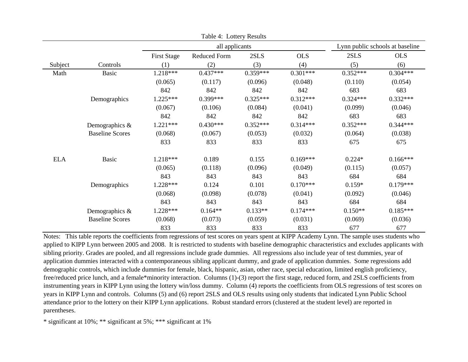|            |                        |                    | Table 4: Lottery Results |            |                                 |            |            |
|------------|------------------------|--------------------|--------------------------|------------|---------------------------------|------------|------------|
|            |                        |                    | all applicants           |            | Lynn public schools at baseline |            |            |
|            |                        | <b>First Stage</b> | <b>Reduced Form</b>      | 2SLS       | <b>OLS</b>                      | 2SLS       | <b>OLS</b> |
| Subject    | Controls               | (1)                | (2)                      | (3)        | (4)                             | (5)        | (6)        |
| Math       | <b>Basic</b>           | 1.218***           | $0.437***$               | $0.359***$ | $0.301***$                      | $0.352***$ | $0.304***$ |
|            |                        | (0.065)            | (0.117)                  | (0.096)    | (0.048)                         | (0.110)    | (0.054)    |
|            |                        | 842                | 842                      | 842        | 842                             | 683        | 683        |
|            | Demographics           | $1.225***$         | $0.399***$               | $0.325***$ | $0.312***$                      | $0.324***$ | $0.332***$ |
|            |                        | (0.067)            | (0.106)                  | (0.084)    | (0.041)                         | (0.099)    | (0.046)    |
|            |                        | 842                | 842                      | 842        | 842                             | 683        | 683        |
|            | Demographics &         | $1.221***$         | $0.430***$               | $0.352***$ | $0.314***$                      | $0.352***$ | $0.344***$ |
|            | <b>Baseline Scores</b> | (0.068)            | (0.067)                  | (0.053)    | (0.032)                         | (0.064)    | (0.038)    |
|            |                        | 833                | 833                      | 833        | 833                             | 675        | 675        |
| <b>ELA</b> | <b>Basic</b>           | 1.218***           | 0.189                    | 0.155      | $0.169***$                      | $0.224*$   | $0.166***$ |
|            |                        | (0.065)            | (0.118)                  | (0.096)    | (0.049)                         | (0.115)    | (0.057)    |
|            |                        | 843                | 843                      | 843        | 843                             | 684        | 684        |
|            | Demographics           | $1.228***$         | 0.124                    | 0.101      | $0.170***$                      | $0.159*$   | $0.179***$ |
|            |                        | (0.068)            | (0.098)                  | (0.078)    | (0.041)                         | (0.092)    | (0.046)    |
|            |                        | 843                | 843                      | 843        | 843                             | 684        | 684        |
|            | Demographics &         | $1.228***$         | $0.164**$                | $0.133**$  | $0.174***$                      | $0.150**$  | $0.185***$ |
|            | <b>Baseline Scores</b> | (0.068)            | (0.073)                  | (0.059)    | (0.031)                         | (0.069)    | (0.036)    |
|            |                        | 833                | 833                      | 833        | 833                             | 677        | 677        |

Notes: This table reports the coefficients from regressions of test scores on years spent at KIPP Academy Lynn. The sample uses students who applied to KIPP Lynn between 2005 and 2008. It is restricted to students with baseline demographic characteristics and excludes applicants with sibling priority. Grades are pooled, and all regressions include grade dummies. All regressions also include year of test dummies, year of application dummies interacted with a contemporaneous sibling applicant dummy, and grade of application dummies. Some regressions add demographic controls, which include dummies for female, black, hispanic, asian, other race, special education, limited english proficiency, free/reduced price lunch, and a female\*minority interaction. Columns (1)-(3) report the first stage, reduced form, and 2SLS coefficients from instrumenting years in KIPP Lynn using the lottery win/loss dummy. Column (4) reports the coefficients from OLS regressions of test scores on years in KIPP Lynn and controls. Columns (5) and (6) report 2SLS and OLS results using only students that indicated Lynn Public School attendance prior to the lottery on their KIPP Lynn applications. Robust standard errors (clustered at the student level) are reported in parentheses.

\* significant at 10%; \*\* significant at 5%; \*\*\* significant at 1%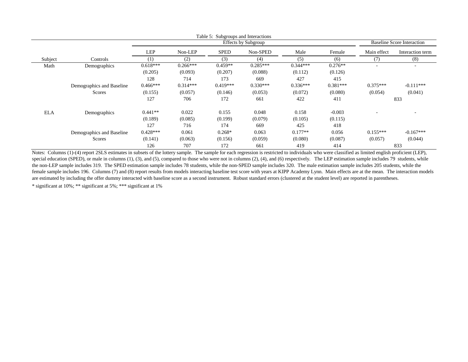|            |                           |                  |            | Table 5: Subgroups and Interactions |                            |            |            |                                   |                  |
|------------|---------------------------|------------------|------------|-------------------------------------|----------------------------|------------|------------|-----------------------------------|------------------|
|            |                           |                  |            |                                     | <b>Effects by Subgroup</b> |            |            | <b>Baseline Score Interaction</b> |                  |
|            |                           | LEP              | Non-LEP    | <b>SPED</b>                         | Non-SPED                   | Male       | Female     | Main effect                       | Interaction term |
| Subject    | Controls                  | $\left(1\right)$ | (2)        | (3)                                 | (4)                        | (5)        | (6)        | (7)                               | (8)              |
| Math       | Demographics              | $0.618***$       | $0.266***$ | $0.459**$                           | $0.285***$                 | $0.344***$ | $0.276**$  |                                   | $\sim$           |
|            |                           | (0.205)          | (0.093)    | (0.207)                             | (0.088)                    | (0.112)    | (0.126)    |                                   |                  |
|            |                           | 128              | 714        | 173                                 | 669                        | 427        | 415        |                                   |                  |
|            | Demographics and Baseline | $0.466***$       | $0.314***$ | $0.419***$                          | $0.330***$                 | $0.336***$ | $0.381***$ | $0.375***$                        | $-0.111***$      |
|            | <b>Scores</b>             | (0.155)          | (0.057)    | (0.146)                             | (0.053)                    | (0.072)    | (0.080)    | (0.054)                           | (0.041)          |
|            |                           | 127              | 706        | 172                                 | 661                        | 422        | 411        |                                   | 833              |
| <b>ELA</b> | Demographics              | $0.441**$        | 0.022      | 0.155                               | 0.048                      | 0.158      | $-0.003$   |                                   |                  |
|            |                           | (0.189)          | (0.085)    | (0.199)                             | (0.079)                    | (0.105)    | (0.115)    |                                   |                  |
|            |                           | 127              | 716        | 174                                 | 669                        | 425        | 418        |                                   |                  |
|            | Demographics and Baseline | $0.428***$       | 0.061      | $0.268*$                            | 0.063                      | $0.177**$  | 0.056      | $0.155***$                        | $-0.167***$      |
|            | <b>Scores</b>             | (0.141)          | (0.063)    | (0.156)                             | (0.059)                    | (0.080)    | (0.087)    | (0.057)                           | (0.044)          |
|            |                           | 126              | 707        | 172                                 | 661                        | 419        | 414        |                                   | 833              |

\* significant at 10%; \*\* significant at 5%; \*\*\* significant at 1%Notes: Columns (1)-(4) report 2SLS estimates in subsets of the lottery sample. The sample for each regression is restricted to individuals who were classified as limited english proficient (LEP), special education (SPED), or male in columns (1), (3), and (5), compared to those who were not in columns (2), (4), and (6) respectively. The LEP estimation sample includes 79 students, while the non-LEP sample includes 319. The SPED estimation sample includes 78 students, while the non-SPED sample includes 320. The male estimation sample includes 205 students, while the female sample includes 196. Columns (7) and (8) report results from models interacting baseline test score with years at KIPP Academy Lynn. Main effects are at the mean. The interaction models are estimated by including the offer dummy interacted with baseline score as a second instrument. Robust standard errors (clustered at the student level) are reported in parentheses.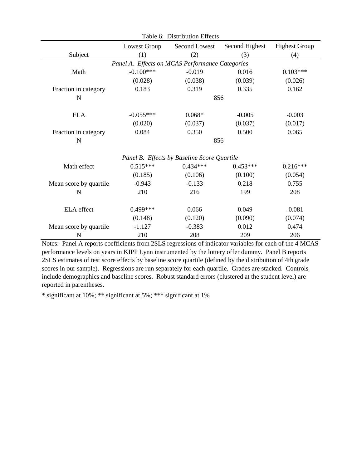|                                                 | Table 6: Distribution Effects |                                             |                |                      |  |  |  |  |  |  |
|-------------------------------------------------|-------------------------------|---------------------------------------------|----------------|----------------------|--|--|--|--|--|--|
|                                                 | Lowest Group                  | Second Lowest                               | Second Highest | <b>Highest Group</b> |  |  |  |  |  |  |
| Subject                                         | (1)                           | (2)                                         | (3)            | (4)                  |  |  |  |  |  |  |
| Panel A. Effects on MCAS Performance Categories |                               |                                             |                |                      |  |  |  |  |  |  |
| Math                                            | $-0.100***$                   | $-0.019$                                    | 0.016          | $0.103***$           |  |  |  |  |  |  |
|                                                 | (0.028)                       | (0.038)                                     | (0.039)        | (0.026)              |  |  |  |  |  |  |
| Fraction in category                            | 0.183                         | 0.319                                       | 0.335          | 0.162                |  |  |  |  |  |  |
| $\mathbf N$                                     |                               | 856                                         |                |                      |  |  |  |  |  |  |
| <b>ELA</b>                                      | $-0.055***$                   | $0.068*$                                    | $-0.005$       | $-0.003$             |  |  |  |  |  |  |
|                                                 | (0.020)                       | (0.037)                                     | (0.037)        | (0.017)              |  |  |  |  |  |  |
| Fraction in category                            | 0.084                         | 0.350                                       | 0.500          | 0.065                |  |  |  |  |  |  |
| N                                               |                               | 856                                         |                |                      |  |  |  |  |  |  |
|                                                 |                               | Panel B. Effects by Baseline Score Quartile |                |                      |  |  |  |  |  |  |
| Math effect                                     | $0.515***$                    | $0.434***$                                  | $0.453***$     | $0.216***$           |  |  |  |  |  |  |
|                                                 | (0.185)                       | (0.106)                                     | (0.100)        | (0.054)              |  |  |  |  |  |  |
| Mean score by quartile                          | $-0.943$                      | $-0.133$                                    | 0.218          | 0.755                |  |  |  |  |  |  |
| $\mathbf N$                                     | 210                           | 216                                         | 199            | 208                  |  |  |  |  |  |  |
| <b>ELA</b> effect                               | $0.499***$                    | 0.066                                       | 0.049          | $-0.081$             |  |  |  |  |  |  |
|                                                 | (0.148)                       | (0.120)                                     | (0.090)        | (0.074)              |  |  |  |  |  |  |
| Mean score by quartile                          | $-1.127$                      | $-0.383$                                    | 0.012          | 0.474                |  |  |  |  |  |  |
| N                                               | 210                           | 208                                         | 209            | 206                  |  |  |  |  |  |  |

Notes: Panel A reports coefficients from 2SLS regressions of indicator variables for each of the 4 MCAS performance levels on years in KIPP Lynn instrumented by the lottery offer dummy. Panel B reports 2SLS estimates of test score effects by baseline score quartile (defined by the distribution of 4th grade scores in our sample). Regressions are run separately for each quartile. Grades are stacked. Controls include demographics and baseline scores. Robust standard errors (clustered at the student level) are reported in parentheses.

\* significant at 10%; \*\* significant at 5%; \*\*\* significant at 1%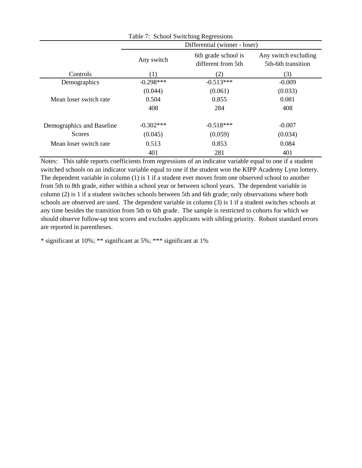| Table 7: School Switching Regressions |             |                                           |                                            |  |  |  |  |  |
|---------------------------------------|-------------|-------------------------------------------|--------------------------------------------|--|--|--|--|--|
|                                       |             | Differential (winner - loser)             |                                            |  |  |  |  |  |
|                                       | Any switch  | 6th grade school is<br>different from 5th | Any switch excluding<br>5th-6th transition |  |  |  |  |  |
| Controls                              | (1)         | (2)                                       | (3)                                        |  |  |  |  |  |
| Demographics                          | $-0.298***$ | $-0.513***$                               | $-0.009$                                   |  |  |  |  |  |
|                                       | (0.044)     | (0.061)                                   | (0.033)                                    |  |  |  |  |  |
| Mean loser switch rate                | 0.504       | 0.855                                     | 0.081                                      |  |  |  |  |  |
|                                       | 408         | 284                                       | 408                                        |  |  |  |  |  |
| Demographics and Baseline             | $-0.302***$ | $-0.518***$                               | $-0.007$                                   |  |  |  |  |  |
| <b>Scores</b>                         | (0.045)     | (0.059)                                   | (0.034)                                    |  |  |  |  |  |
| Mean loser switch rate                | 0.513       | 0.853                                     | 0.084                                      |  |  |  |  |  |
|                                       | 401         | 281                                       | 401                                        |  |  |  |  |  |

Notes: This table reports coefficients from regressions of an indicator variable equal to one if a student switched schools on an indicator variable equal to one if the student won the KIPP Academy Lynn lottery. The dependent variable in column (1) is 1 if a student ever moves from one observed school to another from 5th to 8th grade, either within a school year or between school years. The dependent variable in column (2) is 1 if a student switches schools between 5th and 6th grade; only observations where both schools are observed are used. The dependent variable in column (3) is 1 if a student switches schools at any time besides the transition from 5th to 6th grade. The sample is restricted to cohorts for which we should observe follow-up test scores and excludes applicants with sibling priority. Robust standard errors are reported in parentheses.

\* significant at 10%; \*\* significant at 5%; \*\*\* significant at 1%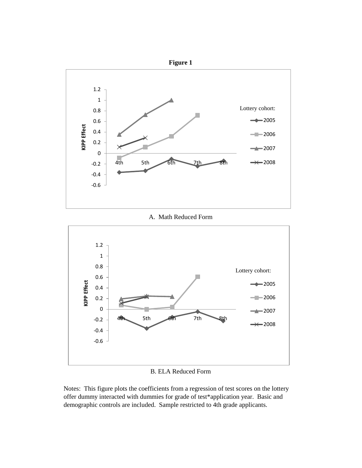

B. ELA Reduced Form

Notes: This figure plots the coefficients from a regression of test scores on the lottery offer dummy interacted with dummies for grade of test\*application year. Basic and demographic controls are included. Sample restricted to 4th grade applicants.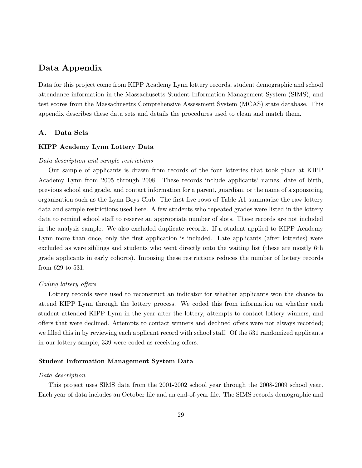### Data Appendix

Data for this project come from KIPP Academy Lynn lottery records, student demographic and school attendance information in the Massachusetts Student Information Management System (SIMS), and test scores from the Massachusetts Comprehensive Assessment System (MCAS) state database. This appendix describes these data sets and details the procedures used to clean and match them.

### A. Data Sets

### KIPP Academy Lynn Lottery Data

### Data description and sample restrictions

Our sample of applicants is drawn from records of the four lotteries that took place at KIPP Academy Lynn from 2005 through 2008. These records include applicants' names, date of birth, previous school and grade, and contact information for a parent, guardian, or the name of a sponsoring organization such as the Lynn Boys Club. The first five rows of Table A1 summarize the raw lottery data and sample restrictions used here. A few students who repeated grades were listed in the lottery data to remind school staff to reserve an appropriate number of slots. These records are not included in the analysis sample. We also excluded duplicate records. If a student applied to KIPP Academy Lynn more than once, only the first application is included. Late applicants (after lotteries) were excluded as were siblings and students who went directly onto the waiting list (these are mostly 6th grade applicants in early cohorts). Imposing these restrictions reduces the number of lottery records from 629 to 531.

### Coding lottery offers

Lottery records were used to reconstruct an indicator for whether applicants won the chance to attend KIPP Lynn through the lottery process. We coded this from information on whether each student attended KIPP Lynn in the year after the lottery, attempts to contact lottery winners, and offers that were declined. Attempts to contact winners and declined offers were not always recorded; we filled this in by reviewing each applicant record with school staff. Of the 531 randomized applicants in our lottery sample, 339 were coded as receiving offers.

#### Student Information Management System Data

#### Data description

This project uses SIMS data from the 2001-2002 school year through the 2008-2009 school year. Each year of data includes an October file and an end-of-year file. The SIMS records demographic and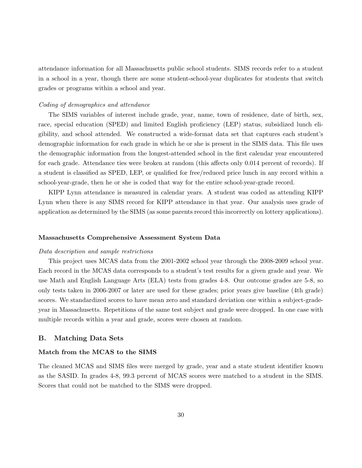attendance information for all Massachusetts public school students. SIMS records refer to a student in a school in a year, though there are some student-school-year duplicates for students that switch grades or programs within a school and year.

#### Coding of demographics and attendance

The SIMS variables of interest include grade, year, name, town of residence, date of birth, sex, race, special education (SPED) and limited English proficiency (LEP) status, subsidized lunch eligibility, and school attended. We constructed a wide-format data set that captures each student's demographic information for each grade in which he or she is present in the SIMS data. This file uses the demographic information from the longest-attended school in the first calendar year encountered for each grade. Attendance ties were broken at random (this affects only 0.014 percent of records). If a student is classified as SPED, LEP, or qualified for free/reduced price lunch in any record within a school-year-grade, then he or she is coded that way for the entire school-year-grade record.

KIPP Lynn attendance is measured in calendar years. A student was coded as attending KIPP Lynn when there is any SIMS record for KIPP attendance in that year. Our analysis uses grade of application as determined by the SIMS (as some parents record this incorrectly on lottery applications).

#### Massachusetts Comprehensive Assessment System Data

#### Data description and sample restrictions

This project uses MCAS data from the 2001-2002 school year through the 2008-2009 school year. Each record in the MCAS data corresponds to a student's test results for a given grade and year. We use Math and English Language Arts (ELA) tests from grades 4-8. Our outcome grades are 5-8, so only tests taken in 2006-2007 or later are used for these grades; prior years give baseline (4th grade) scores. We standardized scores to have mean zero and standard deviation one within a subject-gradeyear in Massachusetts. Repetitions of the same test subject and grade were dropped. In one case with multiple records within a year and grade, scores were chosen at random.

### B. Matching Data Sets

### Match from the MCAS to the SIMS

The cleaned MCAS and SIMS files were merged by grade, year and a state student identifier known as the SASID. In grades 4-8, 99.3 percent of MCAS scores were matched to a student in the SIMS. Scores that could not be matched to the SIMS were dropped.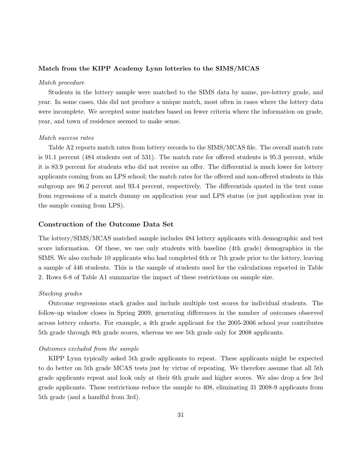### Match from the KIPP Academy Lynn lotteries to the SIMS/MCAS

#### Match procedure

Students in the lottery sample were matched to the SIMS data by name, pre-lottery grade, and year. In some cases, this did not produce a unique match, most often in cases where the lottery data were incomplete. We accepted some matches based on fewer criteria where the information on grade, year, and town of residence seemed to make sense.

#### Match success rates

Table A2 reports match rates from lottery records to the SIMS/MCAS file. The overall match rate is 91.1 percent (484 students out of 531). The match rate for offered students is 95.3 percent, while it is 83.9 percent for students who did not receive an offer. The differential is much lower for lottery applicants coming from an LPS school; the match rates for the offered and non-offered students in this subgroup are 96.2 percent and 93.4 percent, respectively. The differentials quoted in the text come from regressions of a match dummy on application year and LPS status (or just application year in the sample coming from LPS).

### Construction of the Outcome Data Set

The lottery/SIMS/MCAS matched sample includes 484 lottery applicants with demographic and test score information. Of these, we use only students with baseline (4th grade) demographics in the SIMS. We also exclude 10 applicants who had completed 6th or 7th grade prior to the lottery, leaving a sample of 446 students. This is the sample of students used for the calculations reported in Table 2. Rows 6-8 of Table A1 summarize the impact of these restrictions on sample size.

### Stacking grades

Outcome regressions stack grades and include multiple test scores for individual students. The follow-up window closes in Spring 2009, generating differences in the number of outcomes observed across lottery cohorts. For example, a 4th grade applicant for the 2005-2006 school year contributes 5th grade through 8th grade scores, whereas we see 5th grade only for 2008 applicants.

### Outcomes excluded from the sample

KIPP Lynn typically asked 5th grade applicants to repeat. These applicants might be expected to do better on 5th grade MCAS tests just by virtue of repeating. We therefore assume that all 5th grade applicants repeat and look only at their 6th grade and higher scores. We also drop a few 3rd grade applicants. These restrictions reduce the sample to 408, eliminating 31 2008-9 applicants from 5th grade (and a handful from 3rd).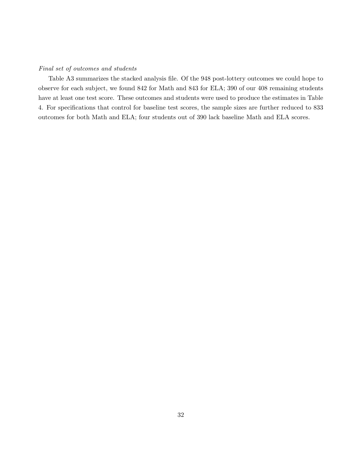### Final set of outcomes and students

Table A3 summarizes the stacked analysis file. Of the 948 post-lottery outcomes we could hope to observe for each subject, we found 842 for Math and 843 for ELA; 390 of our 408 remaining students have at least one test score. These outcomes and students were used to produce the estimates in Table 4. For specifications that control for baseline test scores, the sample sizes are further reduced to 833 outcomes for both Math and ELA; four students out of 390 lack baseline Math and ELA scores.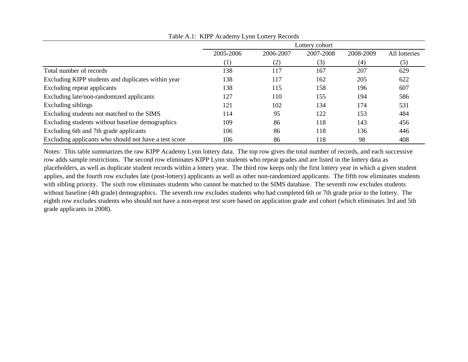|                                                       |           |           | Lottery cohort |     |     |
|-------------------------------------------------------|-----------|-----------|----------------|-----|-----|
|                                                       | 2005-2006 | 2008-2009 | All lotteries  |     |     |
|                                                       | (1)       | (2)       | (3)            | (4) | (5) |
| Total number of records                               | 138       | 117       | 167            | 207 | 629 |
| Excluding KIPP students and duplicates within year    | 138       | 117       | 162            | 205 | 622 |
| Excluding repeat applicants                           | 138       | 115       | 158            | 196 | 607 |
| Excluding late/non-randomized applicants              | 127       | 110       | 155            | 194 | 586 |
| Excluding siblings                                    | 121       | 102       | 134            | 174 | 531 |
| Excluding students not matched to the SIMS            | 114       | 95        | 122            | 153 | 484 |
| Excluding students without baseline demographics      | 109       | 86        | 118            | 143 | 456 |
| Excluding 6th and 7th grade applicants                | 106       | 86        | 118            | 136 | 446 |
| Excluding applicants who should not have a test score | 106       | 86        | 118            | 98  | 408 |

Table A.1: KIPP Academy Lynn Lottery Records

Notes: This table summarizes the raw KIPP Academy Lynn lottery data. The top row gives the total number of records, and each successive row adds sample restrictions. The second row eliminates KIPP Lynn students who repeat grades and are listed in the lottery data as placeholders, as well as duplicate student records within a lottery year. The third row keeps only the first lottery year in which a given student applies, and the fourth row excludes late (post-lottery) applicants as well as other non-randomized applicants. The fifth row eliminates students with sibling priority. The sixth row eliminates students who cannot be matched to the SIMS database. The seventh row excludes students without baseline (4th grade) demographics. The seventh row excludes students who had completed 6th or 7th grade prior to the lottery. The eighth row excludes students who should not have a non-repeat test score based on application grade and cohort (which eliminates 3rd and 5th grade applicants in 2008).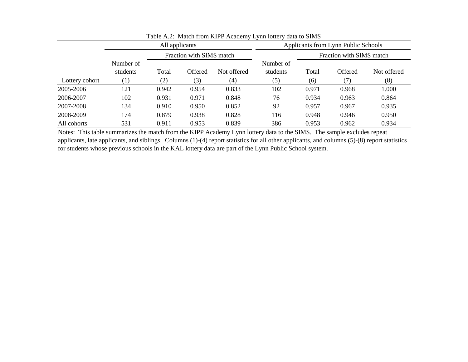|                | Applicants from Lynn Public Schools |       |                          |             |                       |                          |         |             |
|----------------|-------------------------------------|-------|--------------------------|-------------|-----------------------|--------------------------|---------|-------------|
|                |                                     |       | Fraction with SIMS match |             |                       | Fraction with SIMS match |         |             |
|                | Number of<br>students               | Total | Offered                  | Not offered | Number of<br>students | Total                    | Offered | Not offered |
| Lottery cohort | $\left( 1\right)$                   | (2)   | (3)                      | (4)         | (5)                   | (6)                      | (7)     | (8)         |
| 2005-2006      | 121                                 | 0.942 | 0.954                    | 0.833       | 102                   | 0.971                    | 0.968   | 1.000       |
| 2006-2007      | 102                                 | 0.931 | 0.971                    | 0.848       | 76                    | 0.934                    | 0.963   | 0.864       |
| 2007-2008      | 134                                 | 0.910 | 0.950                    | 0.852       | 92                    | 0.957                    | 0.967   | 0.935       |
| 2008-2009      | 174                                 | 0.879 | 0.938                    | 0.828       | 116                   | 0.948                    | 0.946   | 0.950       |
| All cohorts    | 531                                 | 0.911 | 0.953                    | 0.839       | 386                   | 0.953                    | 0.962   | 0.934       |

Table A.2: Match from KIPP Academy Lynn lottery data to SIMS

Notes: This table summarizes the match from the KIPP Academy Lynn lottery data to the SIMS. The sample excludes repeat applicants, late applicants, and siblings. Columns (1)-(4) report statistics for all other applicants, and columns (5)-(8) report statistics for students whose previous schools in the KAL lottery data are part of the Lynn Public School system.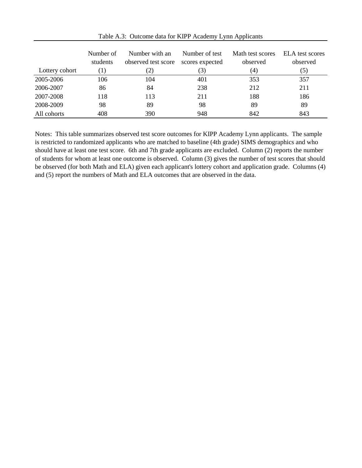|                | Number of<br>students | Number with an<br>observed test score | Number of test<br>scores expected | Math test scores<br>observed | ELA test scores<br>observed |
|----------------|-----------------------|---------------------------------------|-----------------------------------|------------------------------|-----------------------------|
| Lottery cohort | $\perp$               | (2)                                   | (3)                               | (4)                          | (5)                         |
| 2005-2006      | 106                   | 104                                   | 401                               | 353                          | 357                         |
| 2006-2007      | 86                    | 84                                    | 238                               | 212                          | 211                         |
| 2007-2008      | 118                   | 113                                   | 211                               | 188                          | 186                         |
| 2008-2009      | 98                    | 89                                    | 98                                | 89                           | 89                          |
| All cohorts    | 408                   | 390                                   | 948                               | 842                          | 843                         |

Table A.3: Outcome data for KIPP Academy Lynn Applicants

Notes: This table summarizes observed test score outcomes for KIPP Academy Lynn applicants. The sample is restricted to randomized applicants who are matched to baseline (4th grade) SIMS demographics and who should have at least one test score. 6th and 7th grade applicants are excluded. Column (2) reports the number of students for whom at least one outcome is observed. Column (3) gives the number of test scores that should be observed (for both Math and ELA) given each applicant's lottery cohort and application grade. Columns (4) and (5) report the numbers of Math and ELA outcomes that are observed in the data.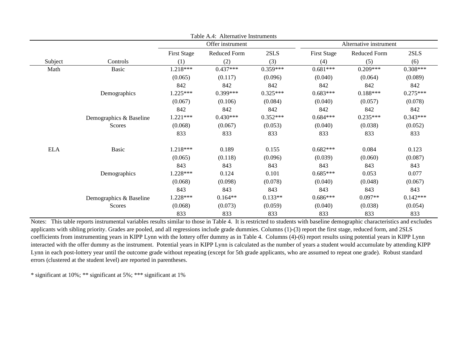|            |                         |                    | Table A.4: Alternative Instruments |            |                    |                        |            |
|------------|-------------------------|--------------------|------------------------------------|------------|--------------------|------------------------|------------|
|            |                         | Offer instrument   |                                    |            |                    | Alternative instrument |            |
|            |                         | <b>First Stage</b> | Reduced Form                       | 2SLS       | <b>First Stage</b> | Reduced Form           | 2SLS       |
| Subject    | Controls                | (1)                | (2)                                | (3)        | (4)                | (5)                    | (6)        |
| Math       | <b>Basic</b>            | 1.218***           | $0.437***$                         | $0.359***$ | $0.681***$         | $0.209***$             | $0.308***$ |
|            |                         | (0.065)            | (0.117)                            | (0.096)    | (0.040)            | (0.064)                | (0.089)    |
|            |                         | 842                | 842                                | 842        | 842                | 842                    | 842        |
|            | Demographics            | $1.225***$         | $0.399***$                         | $0.325***$ | $0.683***$         | $0.188***$             | $0.275***$ |
|            |                         | (0.067)            | (0.106)                            | (0.084)    | (0.040)            | (0.057)                | (0.078)    |
|            |                         | 842                | 842                                | 842        | 842                | 842                    | 842        |
|            | Demographics & Baseline | $1.221***$         | $0.430***$                         | $0.352***$ | $0.684***$         | $0.235***$             | $0.343***$ |
|            | Scores                  | (0.068)            | (0.067)                            | (0.053)    | (0.040)            | (0.038)                | (0.052)    |
|            |                         | 833                | 833                                | 833        | 833                | 833                    | 833        |
| <b>ELA</b> | Basic                   | 1.218***           | 0.189                              | 0.155      | $0.682***$         | 0.084                  | 0.123      |
|            |                         | (0.065)            | (0.118)                            | (0.096)    | (0.039)            | (0.060)                | (0.087)    |
|            |                         | 843                | 843                                | 843        | 843                | 843                    | 843        |
|            | Demographics            | 1.228***           | 0.124                              | 0.101      | $0.685***$         | 0.053                  | 0.077      |
|            |                         | (0.068)            | (0.098)                            | (0.078)    | (0.040)            | (0.048)                | (0.067)    |
|            |                         | 843                | 843                                | 843        | 843                | 843                    | 843        |
|            | Demographics & Baseline | 1.228***           | $0.164**$                          | $0.133**$  | $0.686***$         | $0.097**$              | $0.142***$ |
|            | Scores                  | (0.068)            | (0.073)                            | (0.059)    | (0.040)            | (0.038)                | (0.054)    |
|            |                         | 833                | 833                                | 833        | 833                | 833                    | 833        |

Notes: This table reports instrumental variables results similar to those in Table 4. It is restricted to students with baseline demographic characteristics and excludes applicants with sibling priority. Grades are pooled, and all regressions include grade dummies. Columns (1)-(3) report the first stage, reduced form, and 2SLS coefficients from instrumenting years in KIPP Lynn with the lottery offer dummy as in Table 4. Columns (4)-(6) report results using potential years in KIPP Lynn interacted with the offer dummy as the instrument. Potential years in KIPP Lynn is calculated as the number of years a student would accumulate by attending KIPP Lynn in each post-lottery year until the outcome grade without repeating (except for 5th grade applicants, who are assumed to repeat one grade). Robust standard errors (clustered at the student level) are reported in parentheses.

\* significant at 10%; \*\* significant at 5%; \*\*\* significant at 1%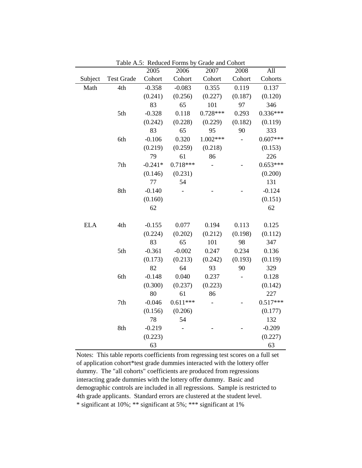|            |                   | 2005      | 2006       | 2007       | 2008    | All        |
|------------|-------------------|-----------|------------|------------|---------|------------|
| Subject    | <b>Test Grade</b> | Cohort    | Cohort     | Cohort     | Cohort  | Cohorts    |
| Math       | 4th               | $-0.358$  | $-0.083$   | 0.355      | 0.119   | 0.137      |
|            |                   | (0.241)   | (0.256)    | (0.227)    | (0.187) | (0.120)    |
|            |                   | 83        | 65         | 101        | 97      | 346        |
|            | 5th               | $-0.328$  | 0.118      | $0.728***$ | 0.293   | $0.336***$ |
|            |                   | (0.242)   | (0.228)    | (0.229)    | (0.182) | (0.119)    |
|            |                   | 83        | 65         | 95         | 90      | 333        |
|            | 6th               | $-0.106$  | 0.320      | 1.002***   |         | $0.607***$ |
|            |                   | (0.219)   | (0.259)    | (0.218)    |         | (0.153)    |
|            |                   | 79        | 61         | 86         |         | 226        |
|            | 7th               | $-0.241*$ | $0.718***$ |            |         | $0.653***$ |
|            |                   | (0.146)   | (0.231)    |            |         | (0.200)    |
|            |                   | 77        | 54         |            |         | 131        |
|            | 8th               | $-0.140$  |            |            |         | $-0.124$   |
|            |                   | (0.160)   |            |            |         | (0.151)    |
|            |                   | 62        |            |            |         | 62         |
|            |                   |           |            |            |         |            |
| <b>ELA</b> | 4th               | $-0.155$  | 0.077      | 0.194      | 0.113   | 0.125      |
|            |                   | (0.224)   | (0.202)    | (0.212)    | (0.198) | (0.112)    |
|            |                   | 83        | 65         | 101        | 98      | 347        |
|            | 5th               | $-0.361$  | $-0.002$   | 0.247      | 0.234   | 0.136      |
|            |                   | (0.173)   | (0.213)    | (0.242)    | (0.193) | (0.119)    |
|            |                   | 82        | 64         | 93         | 90      | 329        |
|            | 6th               | $-0.148$  | 0.040      | 0.237      |         | 0.128      |
|            |                   | (0.300)   | (0.237)    | (0.223)    |         | (0.142)    |
|            |                   | 80        | 61         | 86         |         | 227        |
|            | 7th               | $-0.046$  | $0.611***$ |            |         | $0.517***$ |
|            |                   | (0.156)   | (0.206)    |            |         | (0.177)    |
|            |                   | 78        | 54         |            |         | 132        |
|            | 8th               | $-0.219$  |            |            |         | $-0.209$   |
|            |                   | (0.223)   |            |            |         | (0.227)    |
|            |                   | 63        |            |            |         | 63         |

Table A.5: Reduced Forms by Grade and Cohort

\* significant at 10%; \*\* significant at 5%; \*\*\* significant at 1% Notes: This table reports coefficients from regressing test scores on a full set of application cohort\*test grade dummies interacted with the lottery offer dummy. The "all cohorts" coefficients are produced from regressions interacting grade dummies with the lottery offer dummy. Basic and demographic controls are included in all regressions. Sample is restricted to 4th grade applicants. Standard errors are clustered at the student level.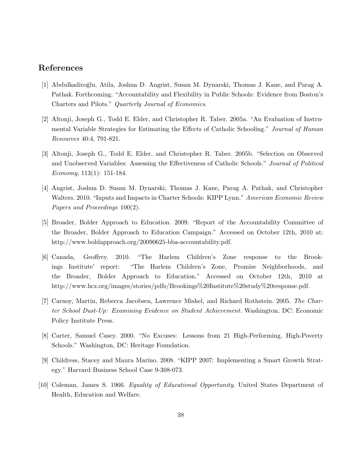### References

- [1] Abdulkadiro˘glu, Atila, Joshua D. Angrist, Susan M. Dynarski, Thomas J. Kane, and Parag A. Pathak. Forthcoming. "Accountability and Flexibility in Public Schools: Evidence from Boston's Charters and Pilots." Quarterly Journal of Economics.
- [2] Altonji, Joseph G., Todd E. Elder, and Christopher R. Taber. 2005a. "An Evaluation of Instrumental Variable Strategies for Estimating the Effects of Catholic Schooling." Journal of Human Resources 40:4, 791-821.
- [3] Altonji, Joseph G., Todd E. Elder, and Christopher R. Taber. 2005b. "Selection on Observed and Unobserved Variables: Assessing the Effectiveness of Catholic Schools." Journal of Political Economy, 113(1): 151-184.
- [4] Angrist, Joshua D. Susan M. Dynarski, Thomas J. Kane, Parag A. Pathak, and Christopher Walters. 2010. "Inputs and Impacts in Charter Schools: KIPP Lynn." American Economic Review Papers and Proceedings 100(2).
- [5] Broader, Bolder Approach to Education. 2009. "Report of the Accountability Committee of the Broader, Bolder Approach to Education Campaign." Accessed on October 12th, 2010 at: http://www.boldapproach.org/20090625-bba-accountability.pdf.
- [6] Canada, Geoffrey. 2010. "The Harlem Children's Zone response to the Brookings Institute' report: "The Harlem Children's Zone, Promise Neighborhoods, and the Broader, Bolder Approach to Education." Accessed on October 12th, 2010 at http://www.hcz.org/images/stories/pdfs/Brookings%20Institute%20study%20response.pdf.
- [7] Carnoy, Martin, Rebecca Jacobsen, Lawrence Mishel, and Richard Rothstein. 2005. The Charter School Dust-Up: Examining Evidence on Student Achievement. Washington, DC: Economic Policy Institute Press.
- [8] Carter, Samuel Casey. 2000. "No Excuses: Lessons from 21 High-Performing, High-Poverty Schools." Washington, DC: Heritage Foundation.
- [9] Childress, Stacey and Maura Marino. 2008. "KIPP 2007: Implementing a Smart Growth Strategy." Harvard Business School Case 9-308-073.
- [10] Coleman, James S. 1966. Equality of Educational Opportunity. United States Department of Health, Education and Welfare.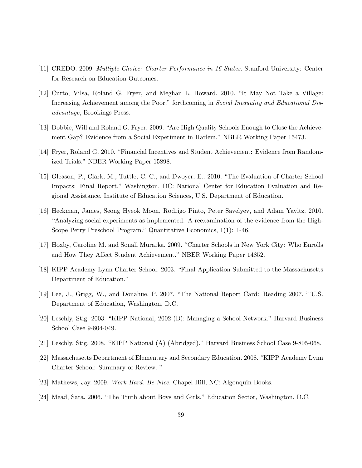- [11] CREDO. 2009. Multiple Choice: Charter Performance in 16 States. Stanford University: Center for Research on Education Outcomes.
- [12] Curto, Vilsa, Roland G. Fryer, and Meghan L. Howard. 2010. "It May Not Take a Village: Increasing Achievement among the Poor." forthcoming in *Social Inequality and Educational Dis*advantage, Brookings Press.
- [13] Dobbie, Will and Roland G. Fryer. 2009. "Are High Quality Schools Enough to Close the Achievement Gap? Evidence from a Social Experiment in Harlem." NBER Working Paper 15473.
- [14] Fryer, Roland G. 2010. "Financial Incentives and Student Achievement: Evidence from Randomized Trials." NBER Working Paper 15898.
- [15] Gleason, P., Clark, M., Tuttle, C. C., and Dwoyer, E.. 2010. "The Evaluation of Charter School Impacts: Final Report." Washington, DC: National Center for Education Evaluation and Regional Assistance, Institute of Education Sciences, U.S. Department of Education.
- [16] Heckman, James, Seong Hyeok Moon, Rodrigo Pinto, Peter Savelyev, and Adam Yavitz. 2010. "Analyzing social experiments as implemented: A reexamination of the evidence from the High-Scope Perry Preschool Program." Quantitative Economics, 1(1): 1-46.
- [17] Hoxby, Caroline M. and Sonali Murarka. 2009. "Charter Schools in New York City: Who Enrolls and How They Affect Student Achievement." NBER Working Paper 14852.
- [18] KIPP Academy Lynn Charter School. 2003. "Final Application Submitted to the Massachusetts Department of Education."
- [19] Lee, J., Grigg, W., and Donahue, P. 2007. "The National Report Card: Reading 2007. "˙U.S. Department of Education, Washington, D.C.
- [20] Leschly, Stig. 2003. "KIPP National, 2002 (B): Managing a School Network." Harvard Business School Case 9-804-049.
- [21] Leschly, Stig. 2008. "KIPP National (A) (Abridged)." Harvard Business School Case 9-805-068.
- [22] Massachusetts Department of Elementary and Secondary Education. 2008. "KIPP Academy Lynn Charter School: Summary of Review. "
- [23] Mathews, Jay. 2009. Work Hard. Be Nice. Chapel Hill, NC: Algonquin Books.
- [24] Mead, Sara. 2006. "The Truth about Boys and Girls." Education Sector, Washington, D.C.